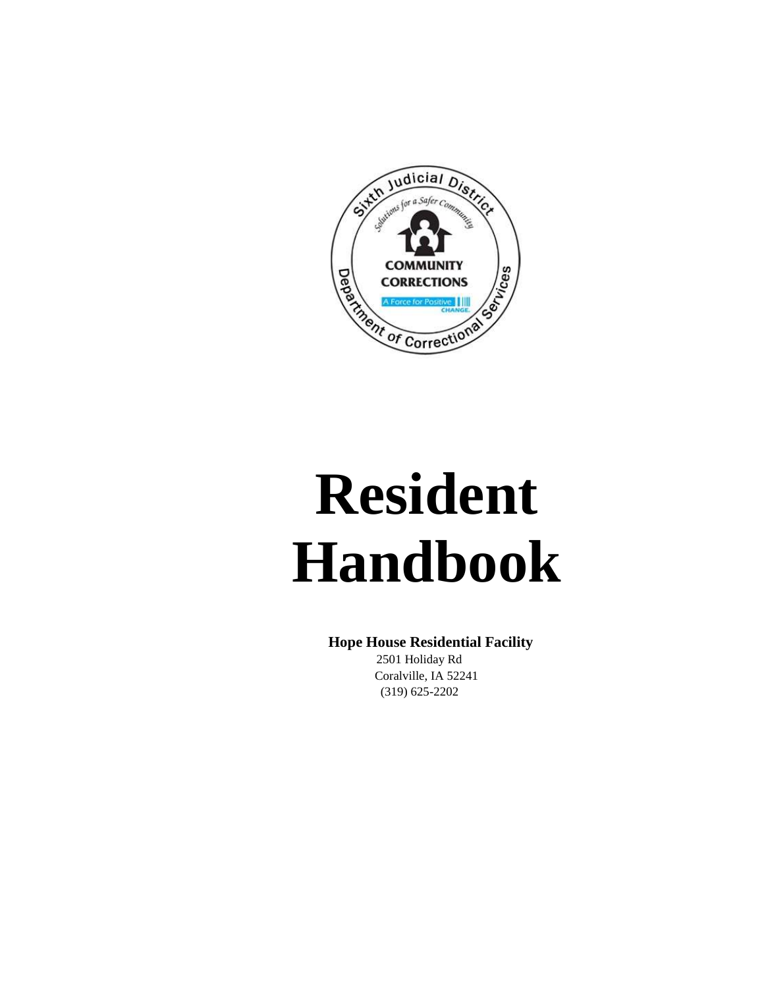

# **Resident Handbook**

# **Hope House Residential Facility**

2501 Holiday Rd Coralville, IA 52241 (319) 625-2202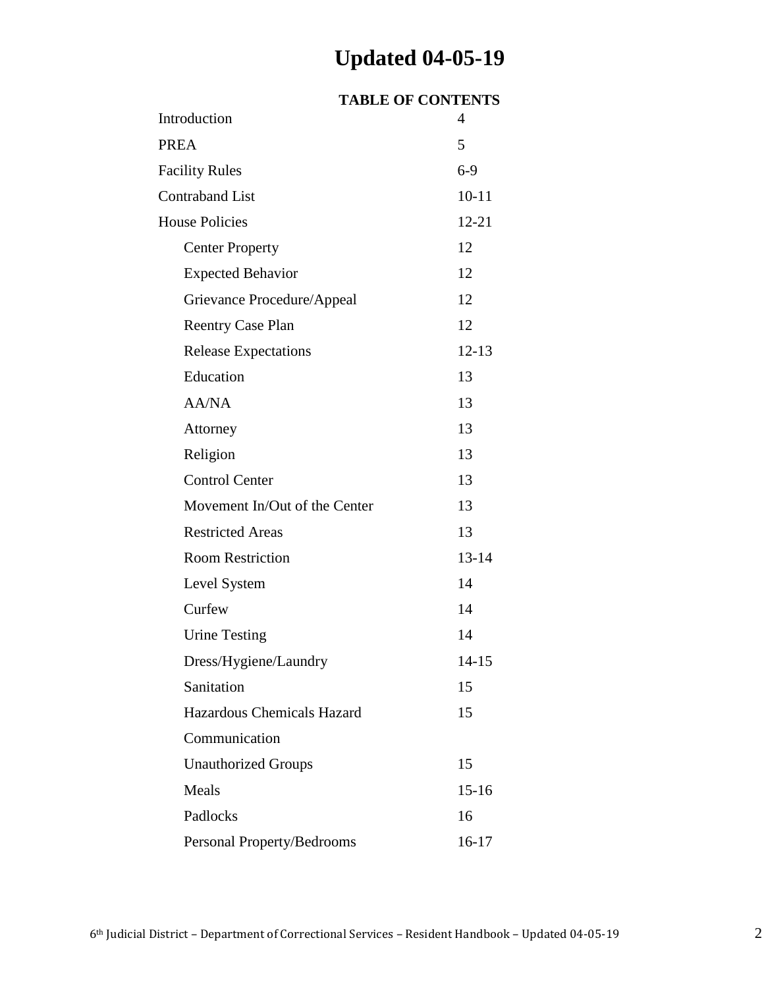# **Updated 04-05-19**

|                               | <b>TABLE OF CONTENTS</b> |
|-------------------------------|--------------------------|
| Introduction                  | 4                        |
| PREA                          | 5                        |
| <b>Facility Rules</b>         | $6 - 9$                  |
| <b>Contraband List</b>        | $10 - 11$                |
| <b>House Policies</b>         | $12 - 21$                |
| <b>Center Property</b>        | 12                       |
| <b>Expected Behavior</b>      | 12                       |
| Grievance Procedure/Appeal    | 12                       |
| <b>Reentry Case Plan</b>      | 12                       |
| <b>Release Expectations</b>   | $12 - 13$                |
| Education                     | 13                       |
| <b>AA/NA</b>                  | 13                       |
| Attorney                      | 13                       |
| Religion                      | 13                       |
| <b>Control Center</b>         | 13                       |
| Movement In/Out of the Center | 13                       |
| <b>Restricted Areas</b>       | 13                       |
| <b>Room Restriction</b>       | $13 - 14$                |
| Level System                  | 14                       |
| Curfew                        | 14                       |
| <b>Urine Testing</b>          | 14                       |
| Dress/Hygiene/Laundry         | $14 - 15$                |
| Sanitation                    | 15                       |
| Hazardous Chemicals Hazard    | 15                       |
| Communication                 |                          |
| <b>Unauthorized Groups</b>    | 15                       |
| Meals                         | $15 - 16$                |
| Padlocks                      | 16                       |
| Personal Property/Bedrooms    | 16-17                    |
|                               |                          |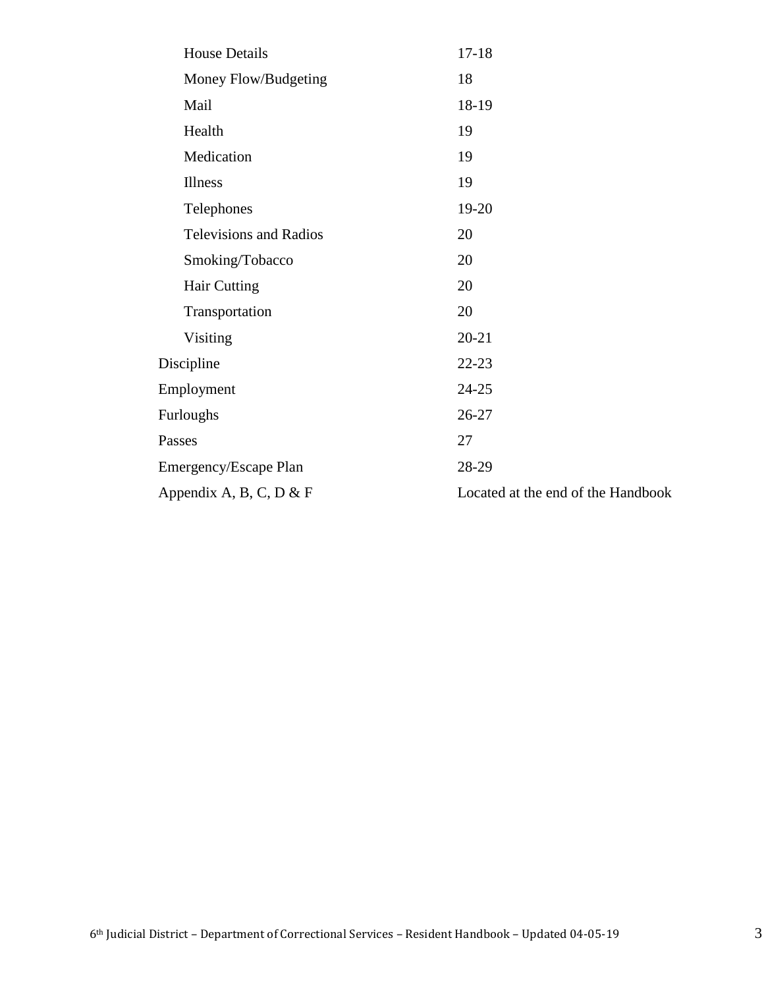|            | <b>House Details</b>          | $17 - 18$                          |
|------------|-------------------------------|------------------------------------|
|            | Money Flow/Budgeting          | 18                                 |
|            | Mail                          | 18-19                              |
|            | Health                        | 19                                 |
|            | Medication                    | 19                                 |
|            | Illness                       | 19                                 |
|            | Telephones                    | 19-20                              |
|            | <b>Televisions and Radios</b> | 20                                 |
|            | Smoking/Tobacco               | 20                                 |
|            | <b>Hair Cutting</b>           | 20                                 |
|            | Transportation                | 20                                 |
|            | Visiting                      | $20 - 21$                          |
| Discipline |                               | $22 - 23$                          |
|            | Employment                    | $24 - 25$                          |
|            | Furloughs                     | 26-27                              |
| Passes     |                               | 27                                 |
|            | <b>Emergency/Escape Plan</b>  | 28-29                              |
|            | Appendix A, B, C, D $&$ F     | Located at the end of the Handbook |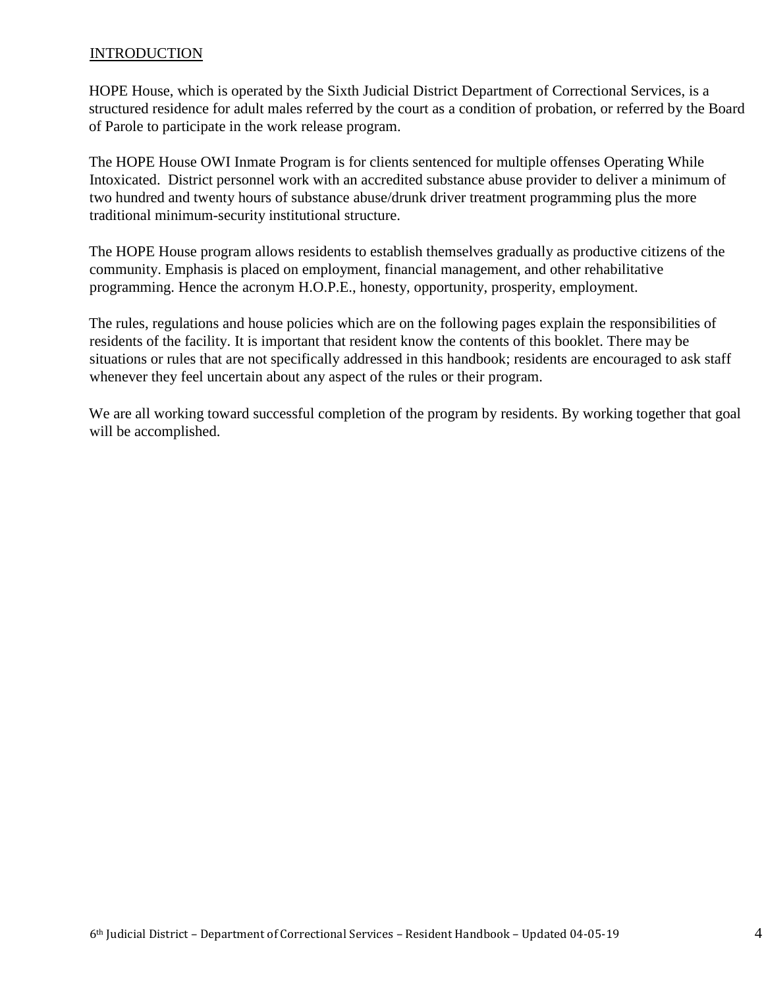# **INTRODUCTION**

HOPE House, which is operated by the Sixth Judicial District Department of Correctional Services, is a structured residence for adult males referred by the court as a condition of probation, or referred by the Board of Parole to participate in the work release program.

The HOPE House OWI Inmate Program is for clients sentenced for multiple offenses Operating While Intoxicated. District personnel work with an accredited substance abuse provider to deliver a minimum of two hundred and twenty hours of substance abuse/drunk driver treatment programming plus the more traditional minimum-security institutional structure.

The HOPE House program allows residents to establish themselves gradually as productive citizens of the community. Emphasis is placed on employment, financial management, and other rehabilitative programming. Hence the acronym H.O.P.E., honesty, opportunity, prosperity, employment.

The rules, regulations and house policies which are on the following pages explain the responsibilities of residents of the facility. It is important that resident know the contents of this booklet. There may be situations or rules that are not specifically addressed in this handbook; residents are encouraged to ask staff whenever they feel uncertain about any aspect of the rules or their program.

We are all working toward successful completion of the program by residents. By working together that goal will be accomplished.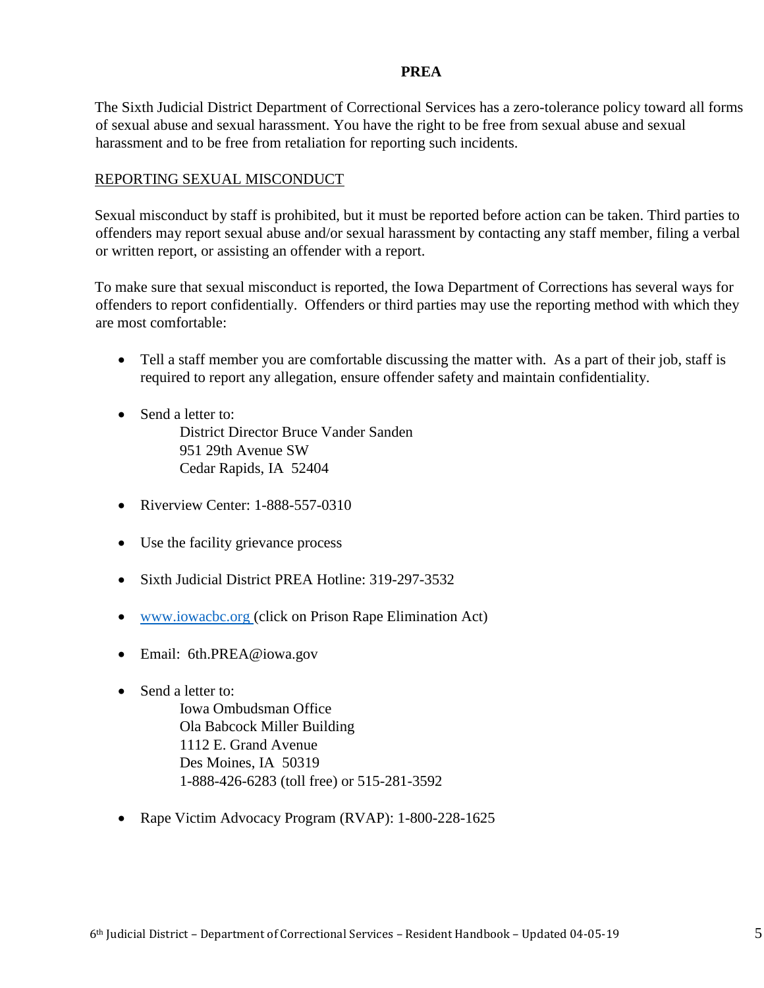#### **PREA**

The Sixth Judicial District Department of Correctional Services has a zero-tolerance policy toward all forms of sexual abuse and sexual harassment. You have the right to be free from sexual abuse and sexual harassment and to be free from retaliation for reporting such incidents.

# REPORTING SEXUAL MISCONDUCT

Sexual misconduct by staff is prohibited, but it must be reported before action can be taken. Third parties to offenders may report sexual abuse and/or sexual harassment by contacting any staff member, filing a verbal or written report, or assisting an offender with a report.

To make sure that sexual misconduct is reported, the Iowa Department of Corrections has several ways for offenders to report confidentially. Offenders or third parties may use the reporting method with which they are most comfortable:

- Tell a staff member you are comfortable discussing the matter with. As a part of their job, staff is required to report any allegation, ensure offender safety and maintain confidentiality.
- Send a letter to: District Director Bruce Vander Sanden 951 29th Avenue SW Cedar Rapids, IA 52404
- Riverview Center: 1-888-557-0310
- Use the facility grievance process
- Sixth Judicial District PREA Hotline: 319-297-3532
- [www.iowacbc.org \(](http://www.iowacbc.org/)click on Prison Rape Elimination Act)
- Email: 6th.PREA@iowa.gov
- Send a letter to:

Iowa Ombudsman Office Ola Babcock Miller Building 1112 E. Grand Avenue Des Moines, IA 50319 1-888-426-6283 (toll free) or 515-281-3592

Rape Victim Advocacy Program (RVAP): 1-800-228-1625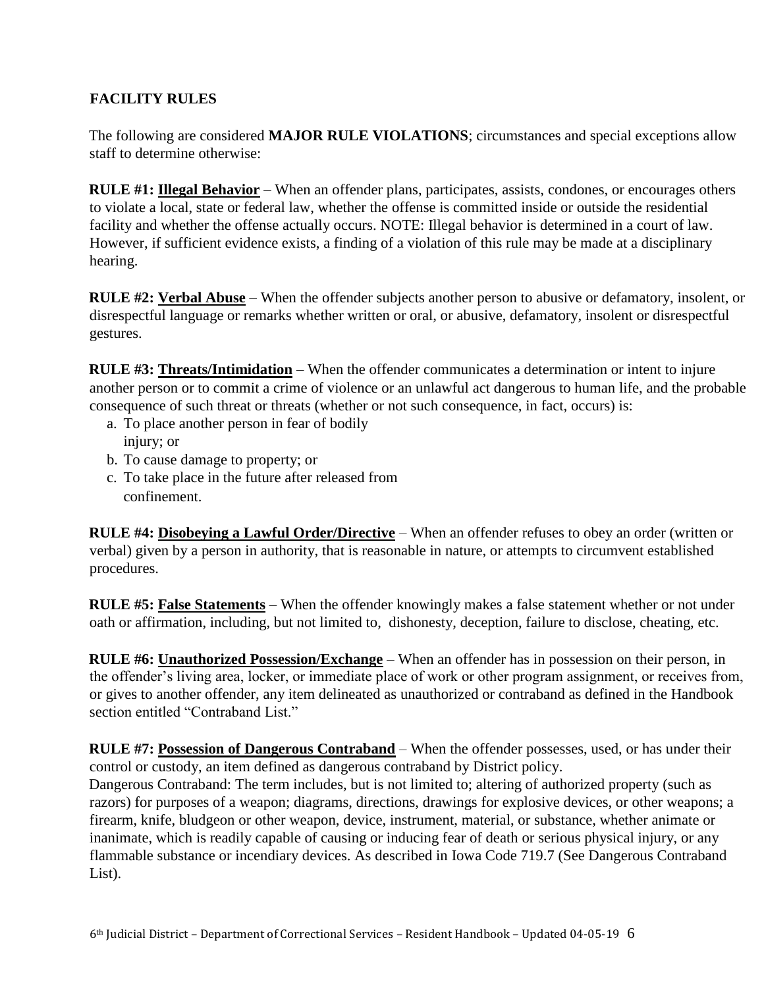# **FACILITY RULES**

The following are considered **MAJOR RULE VIOLATIONS**; circumstances and special exceptions allow staff to determine otherwise:

**RULE #1: Illegal Behavior** – When an offender plans, participates, assists, condones, or encourages others to violate a local, state or federal law, whether the offense is committed inside or outside the residential facility and whether the offense actually occurs. NOTE: Illegal behavior is determined in a court of law. However, if sufficient evidence exists, a finding of a violation of this rule may be made at a disciplinary hearing.

**RULE #2: Verbal Abuse** – When the offender subjects another person to abusive or defamatory, insolent, or disrespectful language or remarks whether written or oral, or abusive, defamatory, insolent or disrespectful gestures.

**RULE #3: Threats/Intimidation** – When the offender communicates a determination or intent to injure another person or to commit a crime of violence or an unlawful act dangerous to human life, and the probable consequence of such threat or threats (whether or not such consequence, in fact, occurs) is:

- a. To place another person in fear of bodily injury; or
- b. To cause damage to property; or
- c. To take place in the future after released from confinement.

**RULE #4: Disobeying a Lawful Order/Directive** – When an offender refuses to obey an order (written or verbal) given by a person in authority, that is reasonable in nature, or attempts to circumvent established procedures.

**RULE #5: False Statements** – When the offender knowingly makes a false statement whether or not under oath or affirmation, including, but not limited to, dishonesty, deception, failure to disclose, cheating, etc.

**RULE #6: Unauthorized Possession/Exchange** – When an offender has in possession on their person, in the offender's living area, locker, or immediate place of work or other program assignment, or receives from, or gives to another offender, any item delineated as unauthorized or contraband as defined in the Handbook section entitled "Contraband List."

**RULE #7: Possession of Dangerous Contraband** – When the offender possesses, used, or has under their control or custody, an item defined as dangerous contraband by District policy.

Dangerous Contraband: The term includes, but is not limited to; altering of authorized property (such as razors) for purposes of a weapon; diagrams, directions, drawings for explosive devices, or other weapons; a firearm, knife, bludgeon or other weapon, device, instrument, material, or substance, whether animate or inanimate, which is readily capable of causing or inducing fear of death or serious physical injury, or any flammable substance or incendiary devices. As described in Iowa Code 719.7 (See Dangerous Contraband List).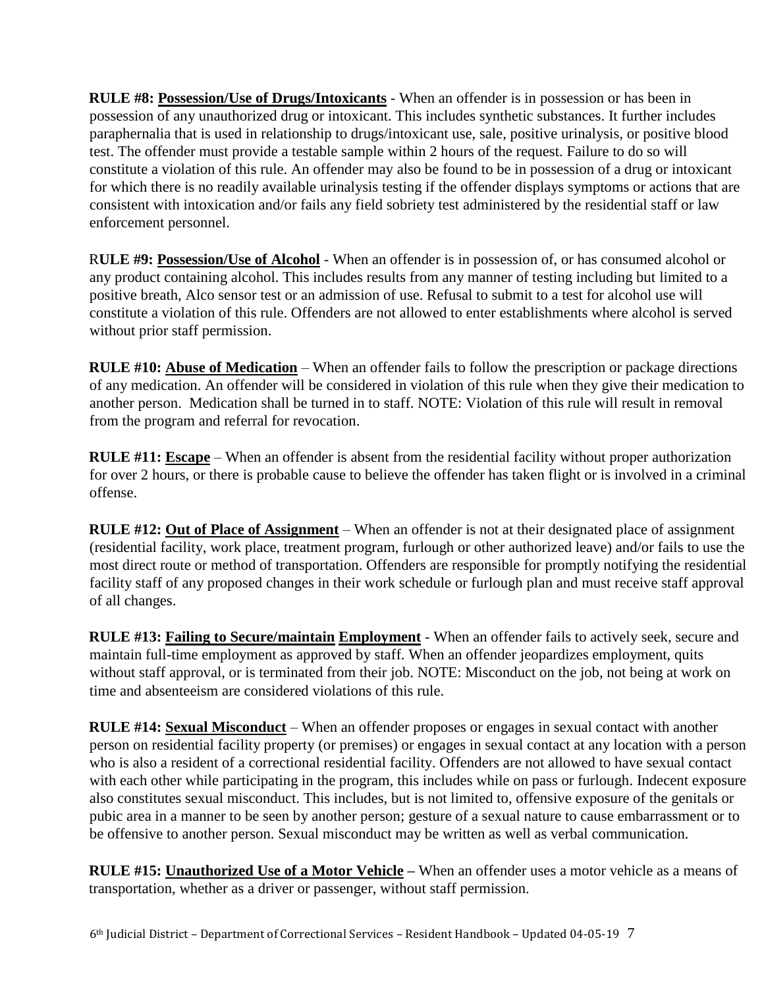**RULE #8: Possession/Use of Drugs/Intoxicants** - When an offender is in possession or has been in possession of any unauthorized drug or intoxicant. This includes synthetic substances. It further includes paraphernalia that is used in relationship to drugs/intoxicant use, sale, positive urinalysis, or positive blood test. The offender must provide a testable sample within 2 hours of the request. Failure to do so will constitute a violation of this rule. An offender may also be found to be in possession of a drug or intoxicant for which there is no readily available urinalysis testing if the offender displays symptoms or actions that are consistent with intoxication and/or fails any field sobriety test administered by the residential staff or law enforcement personnel.

R**ULE #9: Possession/Use of Alcohol** - When an offender is in possession of, or has consumed alcohol or any product containing alcohol. This includes results from any manner of testing including but limited to a positive breath, Alco sensor test or an admission of use. Refusal to submit to a test for alcohol use will constitute a violation of this rule. Offenders are not allowed to enter establishments where alcohol is served without prior staff permission.

**RULE #10: Abuse of Medication** – When an offender fails to follow the prescription or package directions of any medication. An offender will be considered in violation of this rule when they give their medication to another person. Medication shall be turned in to staff. NOTE: Violation of this rule will result in removal from the program and referral for revocation.

**RULE #11: Escape** – When an offender is absent from the residential facility without proper authorization for over 2 hours, or there is probable cause to believe the offender has taken flight or is involved in a criminal offense.

**RULE #12: Out of Place of Assignment** – When an offender is not at their designated place of assignment (residential facility, work place, treatment program, furlough or other authorized leave) and/or fails to use the most direct route or method of transportation. Offenders are responsible for promptly notifying the residential facility staff of any proposed changes in their work schedule or furlough plan and must receive staff approval of all changes.

**RULE #13: Failing to Secure/maintain Employment** - When an offender fails to actively seek, secure and maintain full-time employment as approved by staff. When an offender jeopardizes employment, quits without staff approval, or is terminated from their job. NOTE: Misconduct on the job, not being at work on time and absenteeism are considered violations of this rule.

**RULE #14: Sexual Misconduct** – When an offender proposes or engages in sexual contact with another person on residential facility property (or premises) or engages in sexual contact at any location with a person who is also a resident of a correctional residential facility. Offenders are not allowed to have sexual contact with each other while participating in the program, this includes while on pass or furlough. Indecent exposure also constitutes sexual misconduct. This includes, but is not limited to, offensive exposure of the genitals or pubic area in a manner to be seen by another person; gesture of a sexual nature to cause embarrassment or to be offensive to another person. Sexual misconduct may be written as well as verbal communication.

**RULE #15: Unauthorized Use of a Motor Vehicle –** When an offender uses a motor vehicle as a means of transportation, whether as a driver or passenger, without staff permission.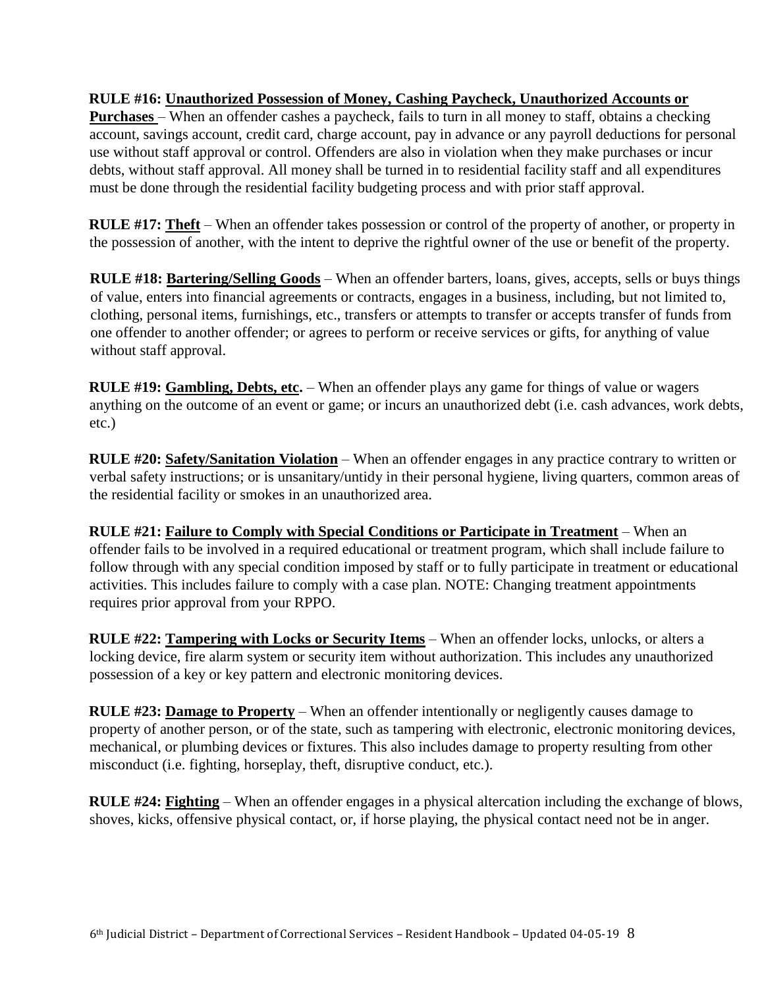# **RULE #16: Unauthorized Possession of Money, Cashing Paycheck, Unauthorized Accounts or**

**Purchases** – When an offender cashes a paycheck, fails to turn in all money to staff, obtains a checking account, savings account, credit card, charge account, pay in advance or any payroll deductions for personal use without staff approval or control. Offenders are also in violation when they make purchases or incur debts, without staff approval. All money shall be turned in to residential facility staff and all expenditures must be done through the residential facility budgeting process and with prior staff approval.

**RULE #17: Theft** – When an offender takes possession or control of the property of another, or property in the possession of another, with the intent to deprive the rightful owner of the use or benefit of the property.

**RULE #18: Bartering/Selling Goods** – When an offender barters, loans, gives, accepts, sells or buys things of value, enters into financial agreements or contracts, engages in a business, including, but not limited to, clothing, personal items, furnishings, etc., transfers or attempts to transfer or accepts transfer of funds from one offender to another offender; or agrees to perform or receive services or gifts, for anything of value without staff approval.

**RULE #19: Gambling, Debts, etc.** – When an offender plays any game for things of value or wagers anything on the outcome of an event or game; or incurs an unauthorized debt (i.e. cash advances, work debts, etc.)

**RULE #20: Safety/Sanitation Violation** – When an offender engages in any practice contrary to written or verbal safety instructions; or is unsanitary/untidy in their personal hygiene, living quarters, common areas of the residential facility or smokes in an unauthorized area.

**RULE #21: Failure to Comply with Special Conditions or Participate in Treatment** – When an offender fails to be involved in a required educational or treatment program, which shall include failure to follow through with any special condition imposed by staff or to fully participate in treatment or educational activities. This includes failure to comply with a case plan. NOTE: Changing treatment appointments requires prior approval from your RPPO.

**RULE #22: Tampering with Locks or Security Items** – When an offender locks, unlocks, or alters a locking device, fire alarm system or security item without authorization. This includes any unauthorized possession of a key or key pattern and electronic monitoring devices.

**RULE #23: Damage to Property** – When an offender intentionally or negligently causes damage to property of another person, or of the state, such as tampering with electronic, electronic monitoring devices, mechanical, or plumbing devices or fixtures. This also includes damage to property resulting from other misconduct (i.e. fighting, horseplay, theft, disruptive conduct, etc.).

**RULE #24: Fighting** – When an offender engages in a physical altercation including the exchange of blows, shoves, kicks, offensive physical contact, or, if horse playing, the physical contact need not be in anger.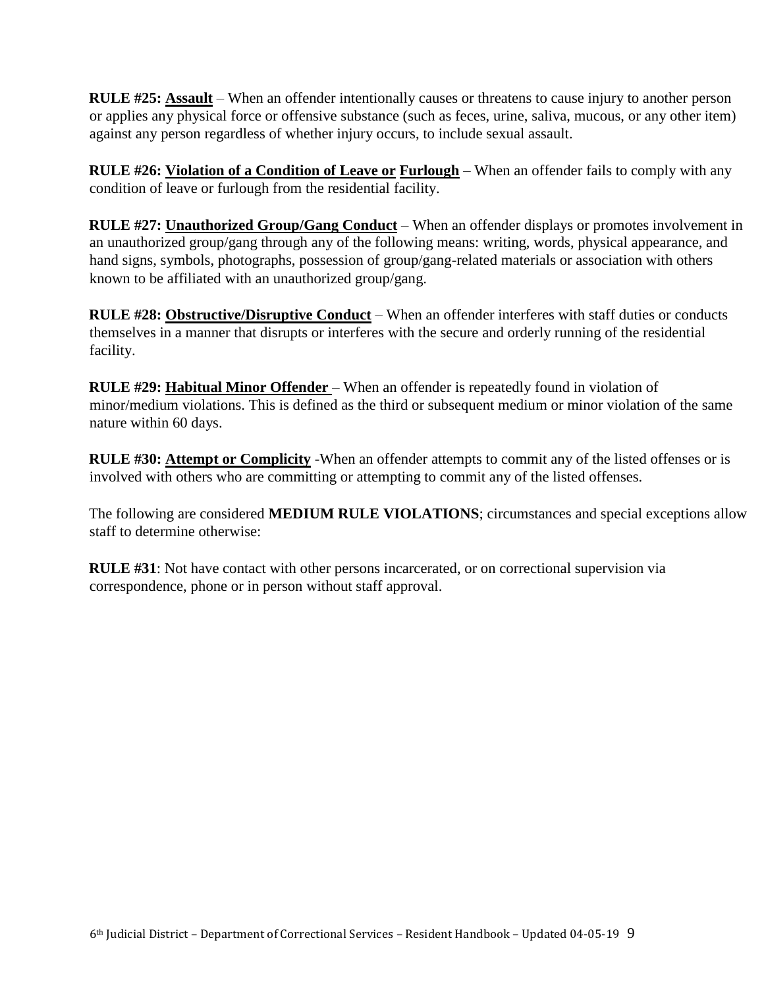**RULE #25: Assault** – When an offender intentionally causes or threatens to cause injury to another person or applies any physical force or offensive substance (such as feces, urine, saliva, mucous, or any other item) against any person regardless of whether injury occurs, to include sexual assault.

**RULE #26: Violation of a Condition of Leave or <b>Furlough** – When an offender fails to comply with any condition of leave or furlough from the residential facility.

**RULE #27: Unauthorized Group/Gang Conduct** – When an offender displays or promotes involvement in an unauthorized group/gang through any of the following means: writing, words, physical appearance, and hand signs, symbols, photographs, possession of group/gang-related materials or association with others known to be affiliated with an unauthorized group/gang.

**RULE #28: Obstructive/Disruptive Conduct** – When an offender interferes with staff duties or conducts themselves in a manner that disrupts or interferes with the secure and orderly running of the residential facility.

**RULE #29: Habitual Minor Offender** – When an offender is repeatedly found in violation of minor/medium violations. This is defined as the third or subsequent medium or minor violation of the same nature within 60 days.

**RULE #30: Attempt or Complicity** -When an offender attempts to commit any of the listed offenses or is involved with others who are committing or attempting to commit any of the listed offenses.

The following are considered **MEDIUM RULE VIOLATIONS**; circumstances and special exceptions allow staff to determine otherwise:

**RULE #31**: Not have contact with other persons incarcerated, or on correctional supervision via correspondence, phone or in person without staff approval.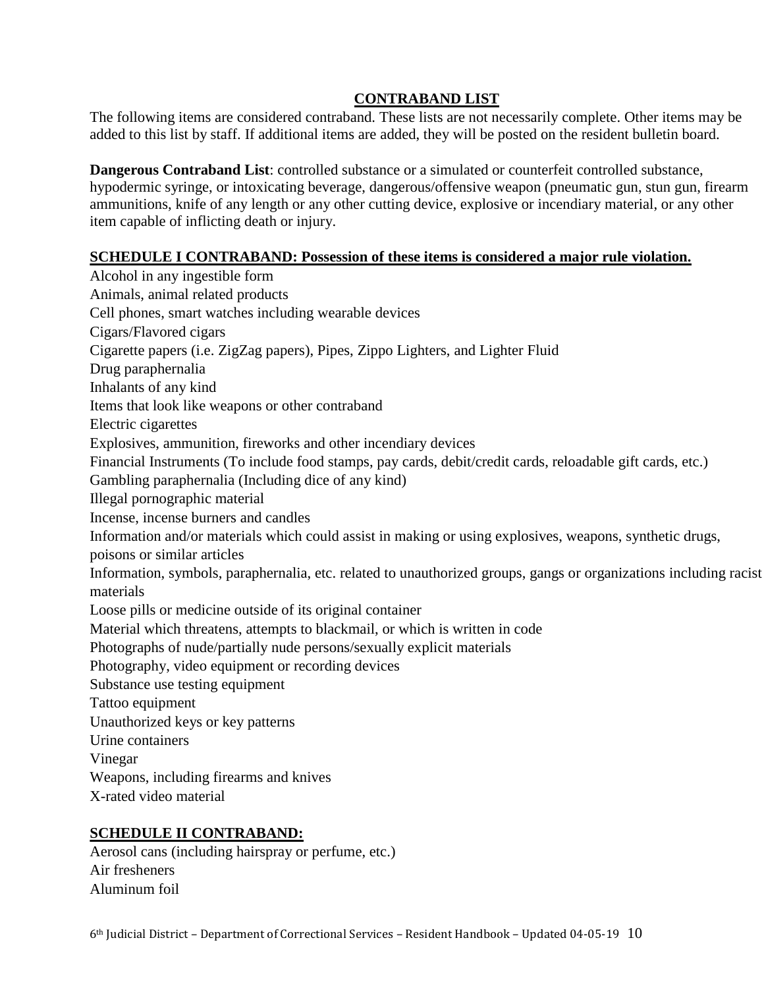# **CONTRABAND LIST**

The following items are considered contraband. These lists are not necessarily complete. Other items may be added to this list by staff. If additional items are added, they will be posted on the resident bulletin board.

**Dangerous Contraband List**: controlled substance or a simulated or counterfeit controlled substance, hypodermic syringe, or intoxicating beverage, dangerous/offensive weapon (pneumatic gun, stun gun, firearm ammunitions, knife of any length or any other cutting device, explosive or incendiary material, or any other item capable of inflicting death or injury.

# **SCHEDULE I CONTRABAND: Possession of these items is considered a major rule violation.**

Alcohol in any ingestible form Animals, animal related products Cell phones, smart watches including wearable devices Cigars/Flavored cigars Cigarette papers (i.e. ZigZag papers), Pipes, Zippo Lighters, and Lighter Fluid Drug paraphernalia Inhalants of any kind Items that look like weapons or other contraband Electric cigarettes Explosives, ammunition, fireworks and other incendiary devices Financial Instruments (To include food stamps, pay cards, debit/credit cards, reloadable gift cards, etc.) Gambling paraphernalia (Including dice of any kind) Illegal pornographic material Incense, incense burners and candles Information and/or materials which could assist in making or using explosives, weapons, synthetic drugs, poisons or similar articles Information, symbols, paraphernalia, etc. related to unauthorized groups, gangs or organizations including racist materials Loose pills or medicine outside of its original container Material which threatens, attempts to blackmail, or which is written in code Photographs of nude/partially nude persons/sexually explicit materials Photography, video equipment or recording devices Substance use testing equipment Tattoo equipment Unauthorized keys or key patterns Urine containers Vinegar Weapons, including firearms and knives X-rated video material

# **SCHEDULE II CONTRABAND:**

Aerosol cans (including hairspray or perfume, etc.) Air fresheners Aluminum foil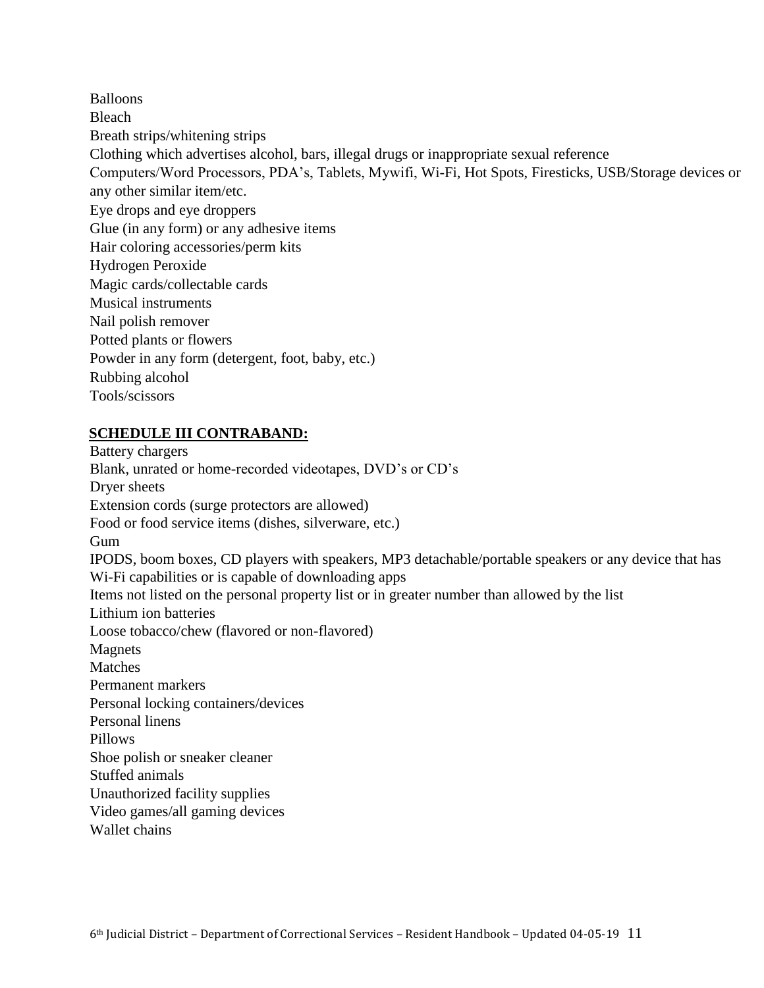Balloons Bleach Breath strips/whitening strips Clothing which advertises alcohol, bars, illegal drugs or inappropriate sexual reference Computers/Word Processors, PDA's, Tablets, Mywifi, Wi-Fi, Hot Spots, Firesticks, USB/Storage devices or any other similar item/etc. Eye drops and eye droppers Glue (in any form) or any adhesive items Hair coloring accessories/perm kits Hydrogen Peroxide Magic cards/collectable cards Musical instruments Nail polish remover Potted plants or flowers Powder in any form (detergent, foot, baby, etc.) Rubbing alcohol Tools/scissors

#### **SCHEDULE III CONTRABAND:**

Battery chargers Blank, unrated or home-recorded videotapes, DVD's or CD's Dryer sheets Extension cords (surge protectors are allowed) Food or food service items (dishes, silverware, etc.) Gum IPODS, boom boxes, CD players with speakers, MP3 detachable/portable speakers or any device that has Wi-Fi capabilities or is capable of downloading apps Items not listed on the personal property list or in greater number than allowed by the list Lithium ion batteries Loose tobacco/chew (flavored or non-flavored) Magnets Matches Permanent markers Personal locking containers/devices Personal linens Pillows Shoe polish or sneaker cleaner Stuffed animals Unauthorized facility supplies Video games/all gaming devices Wallet chains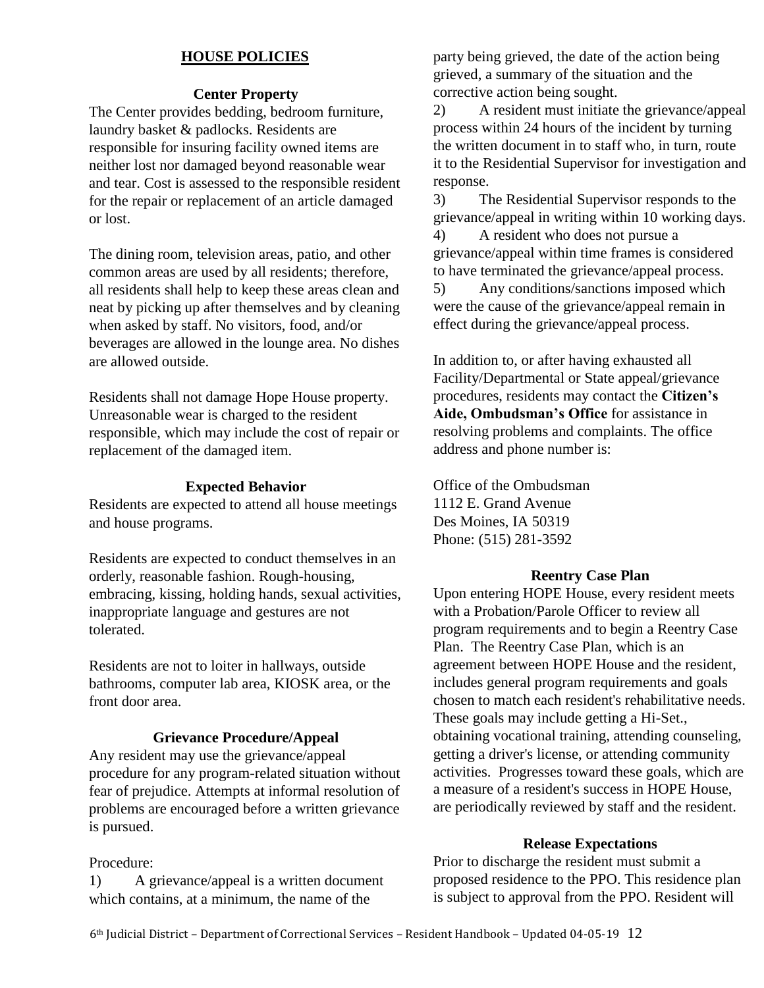# **HOUSE POLICIES**

#### **Center Property**

The Center provides bedding, bedroom furniture, laundry basket & padlocks. Residents are responsible for insuring facility owned items are neither lost nor damaged beyond reasonable wear and tear. Cost is assessed to the responsible resident for the repair or replacement of an article damaged or lost.

The dining room, television areas, patio, and other common areas are used by all residents; therefore, all residents shall help to keep these areas clean and neat by picking up after themselves and by cleaning when asked by staff. No visitors, food, and/or beverages are allowed in the lounge area. No dishes are allowed outside.

Residents shall not damage Hope House property. Unreasonable wear is charged to the resident responsible, which may include the cost of repair or replacement of the damaged item.

# **Expected Behavior**

Residents are expected to attend all house meetings and house programs.

Residents are expected to conduct themselves in an orderly, reasonable fashion. Rough-housing, embracing, kissing, holding hands, sexual activities, inappropriate language and gestures are not tolerated.

Residents are not to loiter in hallways, outside bathrooms, computer lab area, KIOSK area, or the front door area.

#### **Grievance Procedure/Appeal**

Any resident may use the grievance/appeal procedure for any program-related situation without fear of prejudice. Attempts at informal resolution of problems are encouraged before a written grievance is pursued.

#### Procedure:

1) A grievance/appeal is a written document which contains, at a minimum, the name of the

party being grieved, the date of the action being grieved, a summary of the situation and the corrective action being sought.

2) A resident must initiate the grievance/appeal process within 24 hours of the incident by turning the written document in to staff who, in turn, route it to the Residential Supervisor for investigation and response.

3) The Residential Supervisor responds to the grievance/appeal in writing within 10 working days.

4) A resident who does not pursue a grievance/appeal within time frames is considered to have terminated the grievance/appeal process.

5) Any conditions/sanctions imposed which were the cause of the grievance/appeal remain in effect during the grievance/appeal process.

In addition to, or after having exhausted all Facility/Departmental or State appeal/grievance procedures, residents may contact the **Citizen's Aide, Ombudsman's Office** for assistance in resolving problems and complaints. The office address and phone number is:

Office of the Ombudsman 1112 E. Grand Avenue Des Moines, IA 50319 Phone: (515) 281-3592

#### **Reentry Case Plan**

Upon entering HOPE House, every resident meets with a Probation/Parole Officer to review all program requirements and to begin a Reentry Case Plan. The Reentry Case Plan, which is an agreement between HOPE House and the resident, includes general program requirements and goals chosen to match each resident's rehabilitative needs. These goals may include getting a Hi-Set., obtaining vocational training, attending counseling, getting a driver's license, or attending community activities. Progresses toward these goals, which are a measure of a resident's success in HOPE House, are periodically reviewed by staff and the resident.

#### **Release Expectations**

Prior to discharge the resident must submit a proposed residence to the PPO. This residence plan is subject to approval from the PPO. Resident will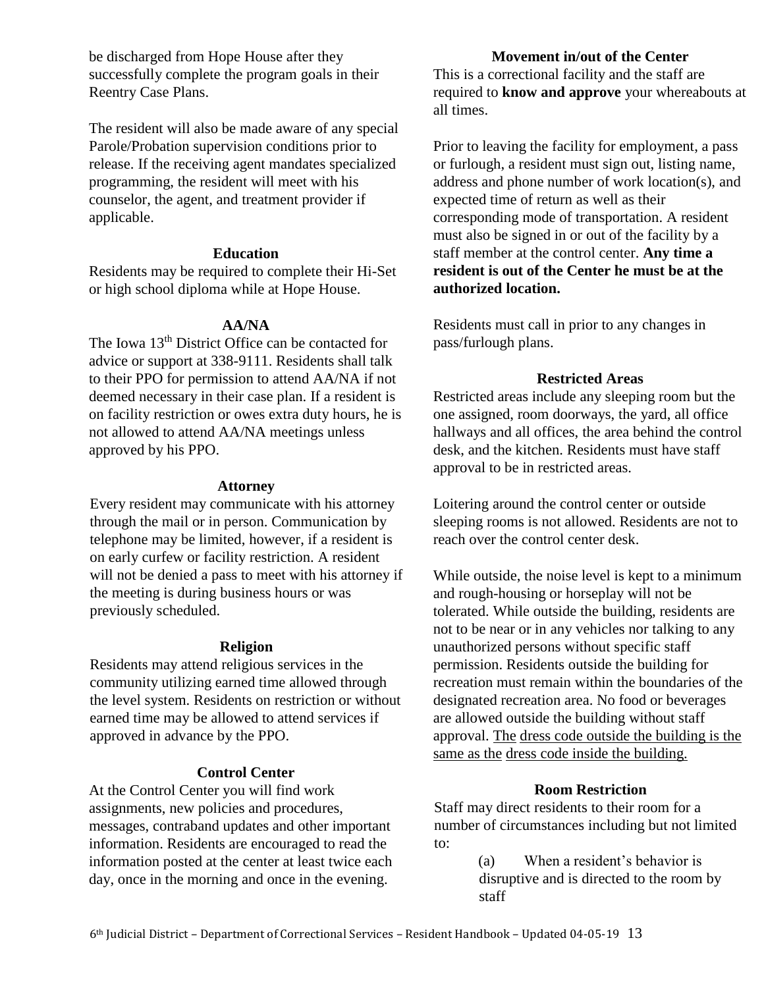be discharged from Hope House after they successfully complete the program goals in their Reentry Case Plans.

The resident will also be made aware of any special Parole/Probation supervision conditions prior to release. If the receiving agent mandates specialized programming, the resident will meet with his counselor, the agent, and treatment provider if applicable.

#### **Education**

Residents may be required to complete their Hi-Set or high school diploma while at Hope House.

# **AA/NA**

The Iowa 13<sup>th</sup> District Office can be contacted for advice or support at 338-9111. Residents shall talk to their PPO for permission to attend AA/NA if not deemed necessary in their case plan. If a resident is on facility restriction or owes extra duty hours, he is not allowed to attend AA/NA meetings unless approved by his PPO.

#### **Attorney**

Every resident may communicate with his attorney through the mail or in person. Communication by telephone may be limited, however, if a resident is on early curfew or facility restriction. A resident will not be denied a pass to meet with his attorney if the meeting is during business hours or was previously scheduled.

#### **Religion**

Residents may attend religious services in the community utilizing earned time allowed through the level system. Residents on restriction or without earned time may be allowed to attend services if approved in advance by the PPO.

# **Control Center**

At the Control Center you will find work assignments, new policies and procedures, messages, contraband updates and other important information. Residents are encouraged to read the information posted at the center at least twice each day, once in the morning and once in the evening.

# **Movement in/out of the Center**

This is a correctional facility and the staff are required to **know and approve** your whereabouts at all times.

Prior to leaving the facility for employment, a pass or furlough, a resident must sign out, listing name, address and phone number of work location(s), and expected time of return as well as their corresponding mode of transportation. A resident must also be signed in or out of the facility by a staff member at the control center. **Any time a resident is out of the Center he must be at the authorized location.** 

Residents must call in prior to any changes in pass/furlough plans.

# **Restricted Areas**

Restricted areas include any sleeping room but the one assigned, room doorways, the yard, all office hallways and all offices, the area behind the control desk, and the kitchen. Residents must have staff approval to be in restricted areas.

Loitering around the control center or outside sleeping rooms is not allowed. Residents are not to reach over the control center desk.

While outside, the noise level is kept to a minimum and rough-housing or horseplay will not be tolerated. While outside the building, residents are not to be near or in any vehicles nor talking to any unauthorized persons without specific staff permission. Residents outside the building for recreation must remain within the boundaries of the designated recreation area. No food or beverages are allowed outside the building without staff approval. The dress code outside the building is the same as the dress code inside the building.

# **Room Restriction**

Staff may direct residents to their room for a number of circumstances including but not limited to:

> (a) When a resident's behavior is disruptive and is directed to the room by staff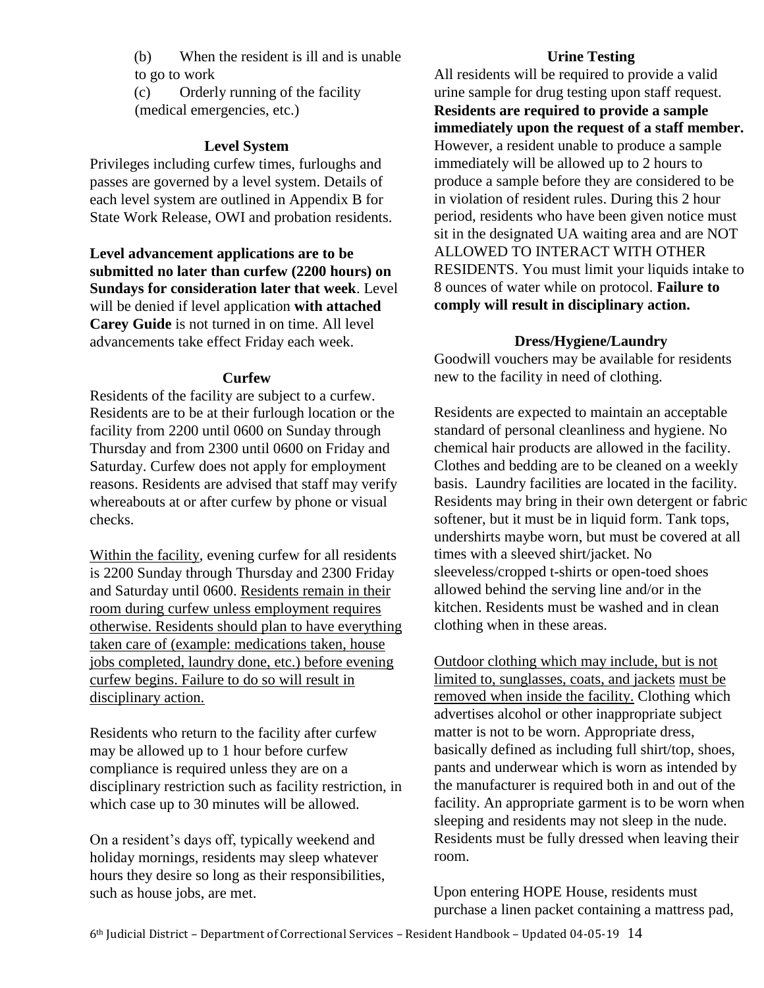(b) When the resident is ill and is unable to go to work

(c) Orderly running of the facility (medical emergencies, etc.)

# **Level System**

Privileges including curfew times, furloughs and passes are governed by a level system. Details of each level system are outlined in Appendix B for State Work Release, OWI and probation residents.

**Level advancement applications are to be submitted no later than curfew (2200 hours) on Sundays for consideration later that week**. Level will be denied if level application **with attached Carey Guide** is not turned in on time. All level advancements take effect Friday each week.

#### **Curfew**

Residents of the facility are subject to a curfew. Residents are to be at their furlough location or the facility from 2200 until 0600 on Sunday through Thursday and from 2300 until 0600 on Friday and Saturday. Curfew does not apply for employment reasons. Residents are advised that staff may verify whereabouts at or after curfew by phone or visual checks.

Within the facility, evening curfew for all residents is 2200 Sunday through Thursday and 2300 Friday and Saturday until 0600. Residents remain in their room during curfew unless employment requires otherwise. Residents should plan to have everything taken care of (example: medications taken, house jobs completed, laundry done, etc.) before evening curfew begins. Failure to do so will result in disciplinary action.

Residents who return to the facility after curfew may be allowed up to 1 hour before curfew compliance is required unless they are on a disciplinary restriction such as facility restriction, in which case up to 30 minutes will be allowed.

On a resident's days off, typically weekend and holiday mornings, residents may sleep whatever hours they desire so long as their responsibilities, such as house jobs, are met.

#### **Urine Testing**

All residents will be required to provide a valid urine sample for drug testing upon staff request. **Residents are required to provide a sample immediately upon the request of a staff member.**  However, a resident unable to produce a sample immediately will be allowed up to 2 hours to produce a sample before they are considered to be in violation of resident rules. During this 2 hour period, residents who have been given notice must sit in the designated UA waiting area and are NOT ALLOWED TO INTERACT WITH OTHER RESIDENTS. You must limit your liquids intake to 8 ounces of water while on protocol. **Failure to comply will result in disciplinary action.**

#### **Dress/Hygiene/Laundry**

Goodwill vouchers may be available for residents new to the facility in need of clothing.

Residents are expected to maintain an acceptable standard of personal cleanliness and hygiene. No chemical hair products are allowed in the facility. Clothes and bedding are to be cleaned on a weekly basis. Laundry facilities are located in the facility. Residents may bring in their own detergent or fabric softener, but it must be in liquid form. Tank tops, undershirts maybe worn, but must be covered at all times with a sleeved shirt/jacket. No sleeveless/cropped t-shirts or open-toed shoes allowed behind the serving line and/or in the kitchen. Residents must be washed and in clean clothing when in these areas.

Outdoor clothing which may include, but is not limited to, sunglasses, coats, and jackets must be removed when inside the facility. Clothing which advertises alcohol or other inappropriate subject matter is not to be worn. Appropriate dress, basically defined as including full shirt/top, shoes, pants and underwear which is worn as intended by the manufacturer is required both in and out of the facility. An appropriate garment is to be worn when sleeping and residents may not sleep in the nude. Residents must be fully dressed when leaving their room.

Upon entering HOPE House, residents must purchase a linen packet containing a mattress pad,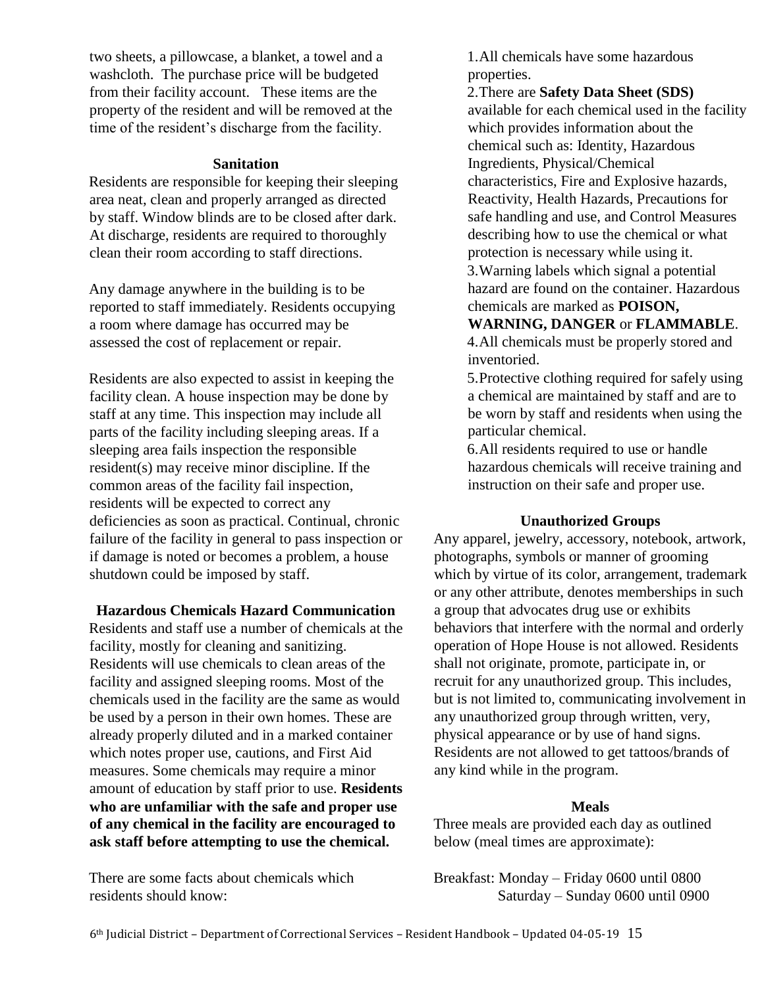two sheets, a pillowcase, a blanket, a towel and a washcloth. The purchase price will be budgeted from their facility account. These items are the property of the resident and will be removed at the time of the resident's discharge from the facility.

#### **Sanitation**

Residents are responsible for keeping their sleeping area neat, clean and properly arranged as directed by staff. Window blinds are to be closed after dark. At discharge, residents are required to thoroughly clean their room according to staff directions.

Any damage anywhere in the building is to be reported to staff immediately. Residents occupying a room where damage has occurred may be assessed the cost of replacement or repair.

Residents are also expected to assist in keeping the facility clean. A house inspection may be done by staff at any time. This inspection may include all parts of the facility including sleeping areas. If a sleeping area fails inspection the responsible resident(s) may receive minor discipline. If the common areas of the facility fail inspection, residents will be expected to correct any deficiencies as soon as practical. Continual, chronic failure of the facility in general to pass inspection or if damage is noted or becomes a problem, a house shutdown could be imposed by staff.

#### **Hazardous Chemicals Hazard Communication**

Residents and staff use a number of chemicals at the facility, mostly for cleaning and sanitizing. Residents will use chemicals to clean areas of the facility and assigned sleeping rooms. Most of the chemicals used in the facility are the same as would be used by a person in their own homes. These are already properly diluted and in a marked container which notes proper use, cautions, and First Aid measures. Some chemicals may require a minor amount of education by staff prior to use. **Residents who are unfamiliar with the safe and proper use of any chemical in the facility are encouraged to ask staff before attempting to use the chemical.**

There are some facts about chemicals which residents should know:

1.All chemicals have some hazardous properties.

2.There are **Safety Data Sheet (SDS)**  available for each chemical used in the facility which provides information about the chemical such as: Identity, Hazardous Ingredients, Physical/Chemical characteristics, Fire and Explosive hazards, Reactivity, Health Hazards, Precautions for safe handling and use, and Control Measures describing how to use the chemical or what protection is necessary while using it. 3.Warning labels which signal a potential hazard are found on the container. Hazardous chemicals are marked as **POISON,** 

#### **WARNING, DANGER** or **FLAMMABLE**.

4.All chemicals must be properly stored and inventoried.

5.Protective clothing required for safely using a chemical are maintained by staff and are to be worn by staff and residents when using the particular chemical.

6.All residents required to use or handle hazardous chemicals will receive training and instruction on their safe and proper use.

#### **Unauthorized Groups**

Any apparel, jewelry, accessory, notebook, artwork, photographs, symbols or manner of grooming which by virtue of its color, arrangement, trademark or any other attribute, denotes memberships in such a group that advocates drug use or exhibits behaviors that interfere with the normal and orderly operation of Hope House is not allowed. Residents shall not originate, promote, participate in, or recruit for any unauthorized group. This includes, but is not limited to, communicating involvement in any unauthorized group through written, very, physical appearance or by use of hand signs. Residents are not allowed to get tattoos/brands of any kind while in the program.

#### **Meals**

Three meals are provided each day as outlined below (meal times are approximate):

Breakfast: Monday – Friday 0600 until 0800 Saturday – Sunday 0600 until 0900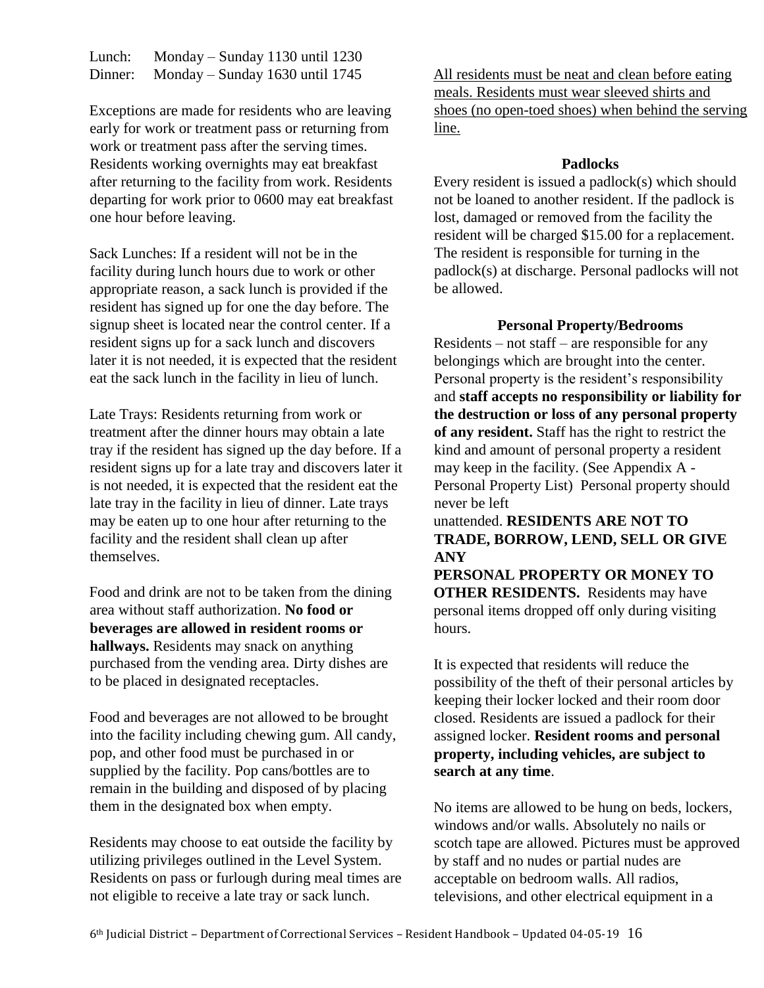| Lunch:  | Monday – Sunday $1130$ until $1230$ |
|---------|-------------------------------------|
| Dinner: | Monday – Sunday $1630$ until $1745$ |

Exceptions are made for residents who are leaving early for work or treatment pass or returning from work or treatment pass after the serving times. Residents working overnights may eat breakfast after returning to the facility from work. Residents departing for work prior to 0600 may eat breakfast one hour before leaving.

Sack Lunches: If a resident will not be in the facility during lunch hours due to work or other appropriate reason, a sack lunch is provided if the resident has signed up for one the day before. The signup sheet is located near the control center. If a resident signs up for a sack lunch and discovers later it is not needed, it is expected that the resident eat the sack lunch in the facility in lieu of lunch.

Late Trays: Residents returning from work or treatment after the dinner hours may obtain a late tray if the resident has signed up the day before. If a resident signs up for a late tray and discovers later it is not needed, it is expected that the resident eat the late tray in the facility in lieu of dinner. Late trays may be eaten up to one hour after returning to the facility and the resident shall clean up after themselves.

Food and drink are not to be taken from the dining area without staff authorization. **No food or beverages are allowed in resident rooms or hallways.** Residents may snack on anything purchased from the vending area. Dirty dishes are to be placed in designated receptacles.

Food and beverages are not allowed to be brought into the facility including chewing gum. All candy, pop, and other food must be purchased in or supplied by the facility. Pop cans/bottles are to remain in the building and disposed of by placing them in the designated box when empty.

Residents may choose to eat outside the facility by utilizing privileges outlined in the Level System. Residents on pass or furlough during meal times are not eligible to receive a late tray or sack lunch.

All residents must be neat and clean before eating meals. Residents must wear sleeved shirts and shoes (no open-toed shoes) when behind the serving line.

#### **Padlocks**

Every resident is issued a padlock(s) which should not be loaned to another resident. If the padlock is lost, damaged or removed from the facility the resident will be charged \$15.00 for a replacement. The resident is responsible for turning in the padlock(s) at discharge. Personal padlocks will not be allowed.

# **Personal Property/Bedrooms**

Residents – not staff – are responsible for any belongings which are brought into the center. Personal property is the resident's responsibility and **staff accepts no responsibility or liability for the destruction or loss of any personal property of any resident.** Staff has the right to restrict the kind and amount of personal property a resident may keep in the facility. (See Appendix A - Personal Property List) Personal property should never be left

unattended. **RESIDENTS ARE NOT TO TRADE, BORROW, LEND, SELL OR GIVE ANY** 

**PERSONAL PROPERTY OR MONEY TO OTHER RESIDENTS.** Residents may have personal items dropped off only during visiting hours.

It is expected that residents will reduce the possibility of the theft of their personal articles by keeping their locker locked and their room door closed. Residents are issued a padlock for their assigned locker. **Resident rooms and personal property, including vehicles, are subject to search at any time**.

No items are allowed to be hung on beds, lockers, windows and/or walls. Absolutely no nails or scotch tape are allowed. Pictures must be approved by staff and no nudes or partial nudes are acceptable on bedroom walls. All radios, televisions, and other electrical equipment in a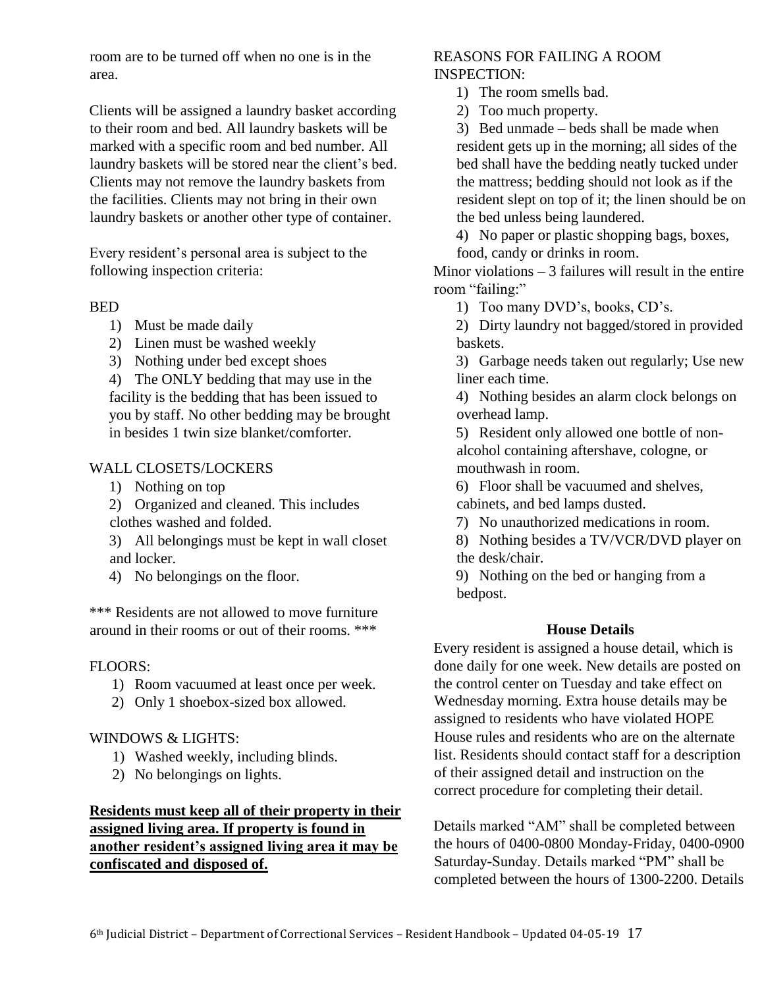room are to be turned off when no one is in the area.

Clients will be assigned a laundry basket according to their room and bed. All laundry baskets will be marked with a specific room and bed number. All laundry baskets will be stored near the client's bed. Clients may not remove the laundry baskets from the facilities. Clients may not bring in their own laundry baskets or another other type of container.

Every resident's personal area is subject to the following inspection criteria:

#### BED

- 1) Must be made daily
- 2) Linen must be washed weekly
- 3) Nothing under bed except shoes

4) The ONLY bedding that may use in the facility is the bedding that has been issued to you by staff. No other bedding may be brought in besides 1 twin size blanket/comforter.

#### WALL CLOSETS/LOCKERS

- 1) Nothing on top
- 2) Organized and cleaned. This includes clothes washed and folded.

3) All belongings must be kept in wall closet and locker.

4) No belongings on the floor.

\*\*\* Residents are not allowed to move furniture around in their rooms or out of their rooms. \*\*\*

#### FLOORS:

- 1) Room vacuumed at least once per week.
- 2) Only 1 shoebox-sized box allowed.

#### WINDOWS & LIGHTS:

- 1) Washed weekly, including blinds.
- 2) No belongings on lights.

# **Residents must keep all of their property in their assigned living area. If property is found in another resident's assigned living area it may be confiscated and disposed of.**

# REASONS FOR FAILING A ROOM INSPECTION:

- 1) The room smells bad.
- 2) Too much property.

3) Bed unmade – beds shall be made when resident gets up in the morning; all sides of the bed shall have the bedding neatly tucked under the mattress; bedding should not look as if the resident slept on top of it; the linen should be on the bed unless being laundered.

4) No paper or plastic shopping bags, boxes, food, candy or drinks in room.

Minor violations  $-3$  failures will result in the entire room "failing:"

1) Too many DVD's, books, CD's.

2) Dirty laundry not bagged/stored in provided baskets.

3) Garbage needs taken out regularly; Use new liner each time.

4) Nothing besides an alarm clock belongs on overhead lamp.

5) Resident only allowed one bottle of nonalcohol containing aftershave, cologne, or mouthwash in room.

6) Floor shall be vacuumed and shelves, cabinets, and bed lamps dusted.

7) No unauthorized medications in room.

8) Nothing besides a TV/VCR/DVD player on the desk/chair.

9) Nothing on the bed or hanging from a bedpost.

#### **House Details**

Every resident is assigned a house detail, which is done daily for one week. New details are posted on the control center on Tuesday and take effect on Wednesday morning. Extra house details may be assigned to residents who have violated HOPE House rules and residents who are on the alternate list. Residents should contact staff for a description of their assigned detail and instruction on the correct procedure for completing their detail.

Details marked "AM" shall be completed between the hours of 0400-0800 Monday-Friday, 0400-0900 Saturday-Sunday. Details marked "PM" shall be completed between the hours of 1300-2200. Details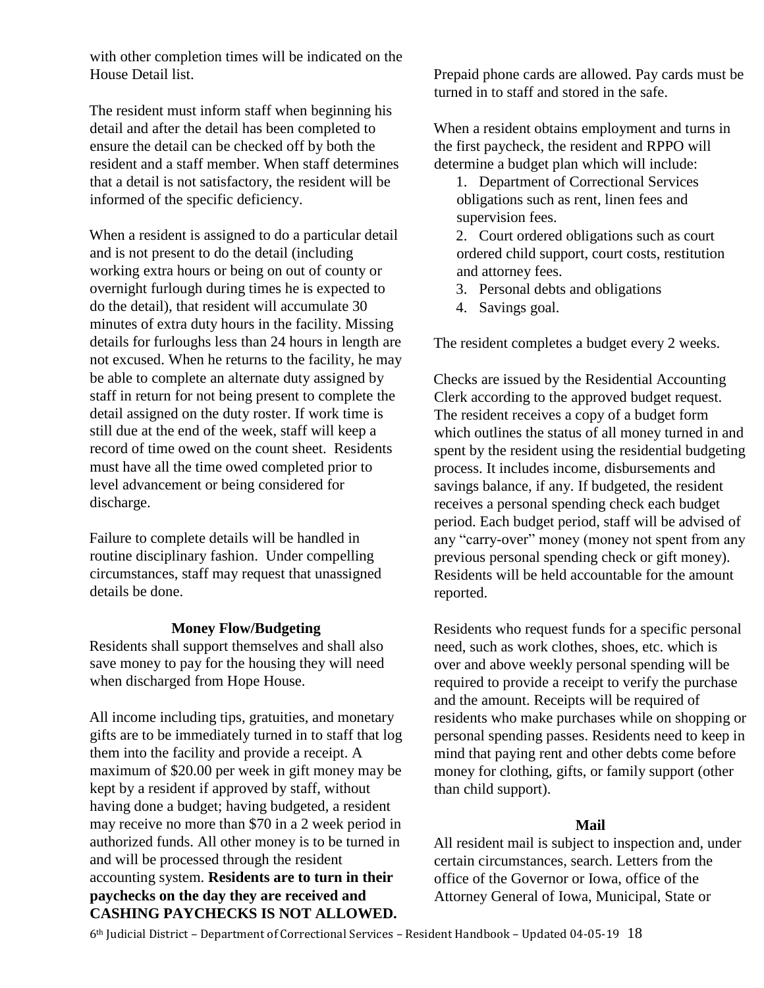with other completion times will be indicated on the House Detail list.

The resident must inform staff when beginning his detail and after the detail has been completed to ensure the detail can be checked off by both the resident and a staff member. When staff determines that a detail is not satisfactory, the resident will be informed of the specific deficiency.

When a resident is assigned to do a particular detail and is not present to do the detail (including working extra hours or being on out of county or overnight furlough during times he is expected to do the detail), that resident will accumulate 30 minutes of extra duty hours in the facility. Missing details for furloughs less than 24 hours in length are not excused. When he returns to the facility, he may be able to complete an alternate duty assigned by staff in return for not being present to complete the detail assigned on the duty roster. If work time is still due at the end of the week, staff will keep a record of time owed on the count sheet. Residents must have all the time owed completed prior to level advancement or being considered for discharge.

Failure to complete details will be handled in routine disciplinary fashion. Under compelling circumstances, staff may request that unassigned details be done.

#### **Money Flow/Budgeting**

Residents shall support themselves and shall also save money to pay for the housing they will need when discharged from Hope House.

All income including tips, gratuities, and monetary gifts are to be immediately turned in to staff that log them into the facility and provide a receipt. A maximum of \$20.00 per week in gift money may be kept by a resident if approved by staff, without having done a budget; having budgeted, a resident may receive no more than \$70 in a 2 week period in authorized funds. All other money is to be turned in and will be processed through the resident accounting system. **Residents are to turn in their paychecks on the day they are received and CASHING PAYCHECKS IS NOT ALLOWED.**

Prepaid phone cards are allowed. Pay cards must be turned in to staff and stored in the safe.

When a resident obtains employment and turns in the first paycheck, the resident and RPPO will determine a budget plan which will include:

1. Department of Correctional Services obligations such as rent, linen fees and supervision fees.

2. Court ordered obligations such as court ordered child support, court costs, restitution and attorney fees.

- 3. Personal debts and obligations
- 4. Savings goal.

The resident completes a budget every 2 weeks.

Checks are issued by the Residential Accounting Clerk according to the approved budget request. The resident receives a copy of a budget form which outlines the status of all money turned in and spent by the resident using the residential budgeting process. It includes income, disbursements and savings balance, if any. If budgeted, the resident receives a personal spending check each budget period. Each budget period, staff will be advised of any "carry-over" money (money not spent from any previous personal spending check or gift money). Residents will be held accountable for the amount reported.

Residents who request funds for a specific personal need, such as work clothes, shoes, etc. which is over and above weekly personal spending will be required to provide a receipt to verify the purchase and the amount. Receipts will be required of residents who make purchases while on shopping or personal spending passes. Residents need to keep in mind that paying rent and other debts come before money for clothing, gifts, or family support (other than child support).

#### **Mail**

All resident mail is subject to inspection and, under certain circumstances, search. Letters from the office of the Governor or Iowa, office of the Attorney General of Iowa, Municipal, State or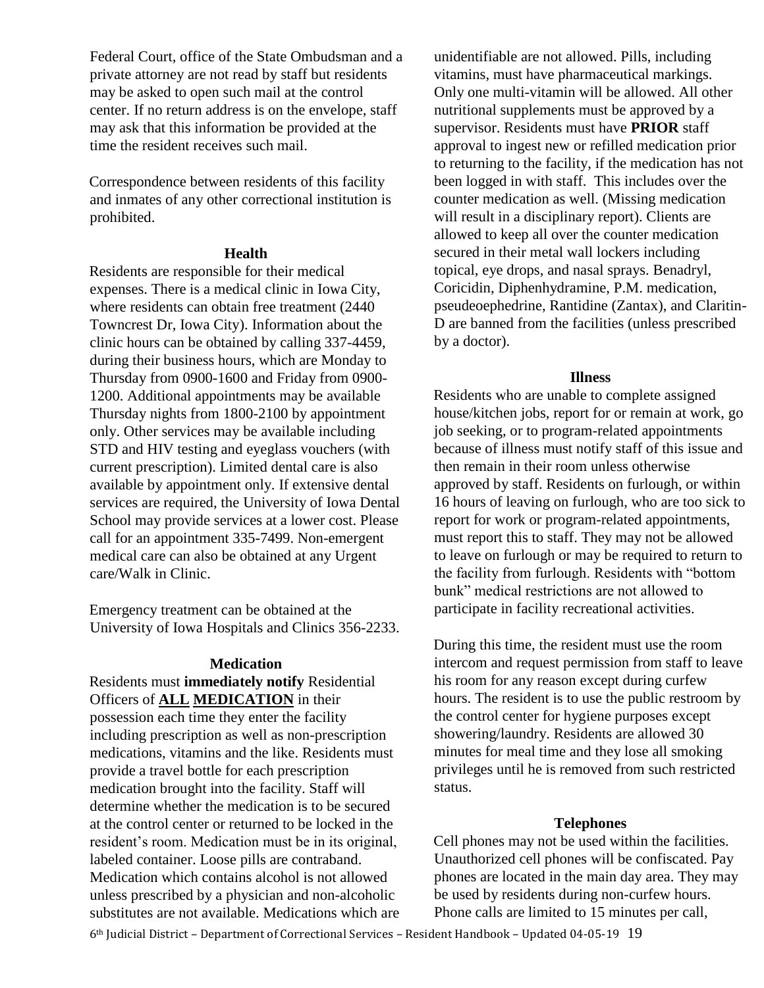Federal Court, office of the State Ombudsman and a private attorney are not read by staff but residents may be asked to open such mail at the control center. If no return address is on the envelope, staff may ask that this information be provided at the time the resident receives such mail.

Correspondence between residents of this facility and inmates of any other correctional institution is prohibited.

#### **Health**

Residents are responsible for their medical expenses. There is a medical clinic in Iowa City, where residents can obtain free treatment (2440 Towncrest Dr, Iowa City). Information about the clinic hours can be obtained by calling 337-4459, during their business hours, which are Monday to Thursday from 0900-1600 and Friday from 0900- 1200. Additional appointments may be available Thursday nights from 1800-2100 by appointment only. Other services may be available including STD and HIV testing and eyeglass vouchers (with current prescription). Limited dental care is also available by appointment only. If extensive dental services are required, the University of Iowa Dental School may provide services at a lower cost. Please call for an appointment 335-7499. Non-emergent medical care can also be obtained at any Urgent care/Walk in Clinic.

Emergency treatment can be obtained at the University of Iowa Hospitals and Clinics 356-2233.

#### **Medication**

Residents must **immediately notify** Residential Officers of **ALL MEDICATION** in their possession each time they enter the facility including prescription as well as non-prescription medications, vitamins and the like. Residents must provide a travel bottle for each prescription medication brought into the facility. Staff will determine whether the medication is to be secured at the control center or returned to be locked in the resident's room. Medication must be in its original, labeled container. Loose pills are contraband. Medication which contains alcohol is not allowed unless prescribed by a physician and non-alcoholic substitutes are not available. Medications which are

unidentifiable are not allowed. Pills, including vitamins, must have pharmaceutical markings. Only one multi-vitamin will be allowed. All other nutritional supplements must be approved by a supervisor. Residents must have **PRIOR** staff approval to ingest new or refilled medication prior to returning to the facility, if the medication has not been logged in with staff. This includes over the counter medication as well. (Missing medication will result in a disciplinary report). Clients are allowed to keep all over the counter medication secured in their metal wall lockers including topical, eye drops, and nasal sprays. Benadryl, Coricidin, Diphenhydramine, P.M. medication, pseudeoephedrine, Rantidine (Zantax), and Claritin-D are banned from the facilities (unless prescribed by a doctor).

#### **Illness**

Residents who are unable to complete assigned house/kitchen jobs, report for or remain at work, go job seeking, or to program-related appointments because of illness must notify staff of this issue and then remain in their room unless otherwise approved by staff. Residents on furlough, or within 16 hours of leaving on furlough, who are too sick to report for work or program-related appointments, must report this to staff. They may not be allowed to leave on furlough or may be required to return to the facility from furlough. Residents with "bottom bunk" medical restrictions are not allowed to participate in facility recreational activities.

During this time, the resident must use the room intercom and request permission from staff to leave his room for any reason except during curfew hours. The resident is to use the public restroom by the control center for hygiene purposes except showering/laundry. Residents are allowed 30 minutes for meal time and they lose all smoking privileges until he is removed from such restricted status.

# **Telephones**

Cell phones may not be used within the facilities. Unauthorized cell phones will be confiscated. Pay phones are located in the main day area. They may be used by residents during non-curfew hours. Phone calls are limited to 15 minutes per call,

6th Judicial District – Department of Correctional Services – Resident Handbook – Updated 04-05-19 19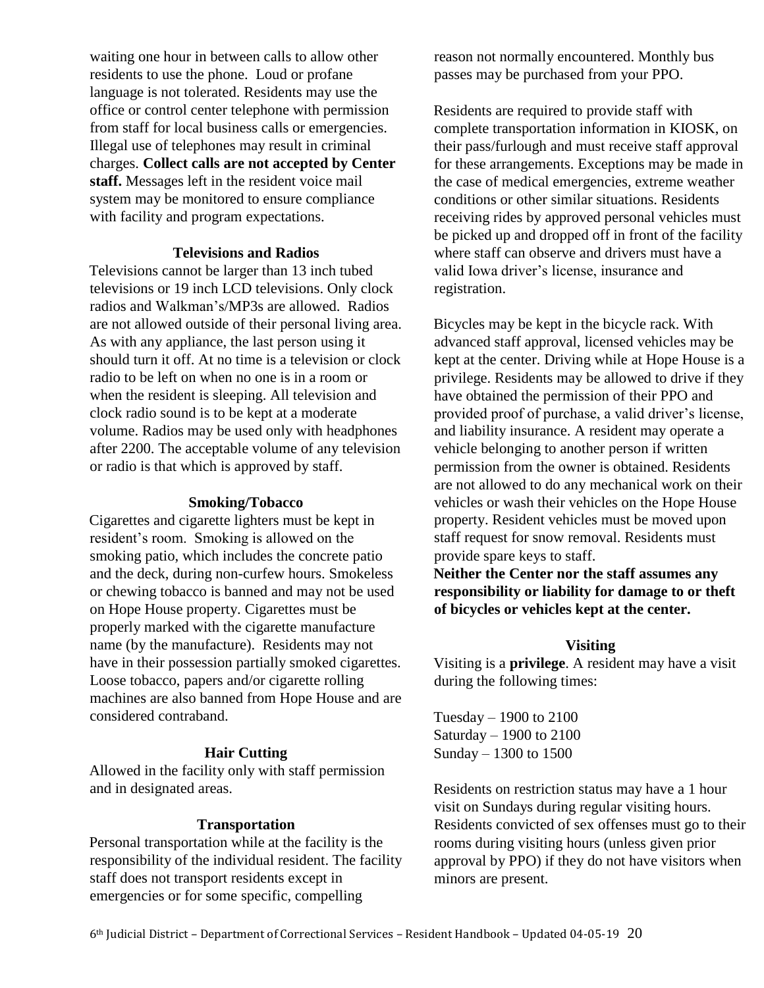waiting one hour in between calls to allow other residents to use the phone. Loud or profane language is not tolerated. Residents may use the office or control center telephone with permission from staff for local business calls or emergencies. Illegal use of telephones may result in criminal charges. **Collect calls are not accepted by Center staff.** Messages left in the resident voice mail system may be monitored to ensure compliance with facility and program expectations.

#### **Televisions and Radios**

Televisions cannot be larger than 13 inch tubed televisions or 19 inch LCD televisions. Only clock radios and Walkman's/MP3s are allowed. Radios are not allowed outside of their personal living area. As with any appliance, the last person using it should turn it off. At no time is a television or clock radio to be left on when no one is in a room or when the resident is sleeping. All television and clock radio sound is to be kept at a moderate volume. Radios may be used only with headphones after 2200. The acceptable volume of any television or radio is that which is approved by staff.

#### **Smoking/Tobacco**

Cigarettes and cigarette lighters must be kept in resident's room. Smoking is allowed on the smoking patio, which includes the concrete patio and the deck, during non-curfew hours. Smokeless or chewing tobacco is banned and may not be used on Hope House property. Cigarettes must be properly marked with the cigarette manufacture name (by the manufacture). Residents may not have in their possession partially smoked cigarettes. Loose tobacco, papers and/or cigarette rolling machines are also banned from Hope House and are considered contraband.

#### **Hair Cutting**

Allowed in the facility only with staff permission and in designated areas.

#### **Transportation**

Personal transportation while at the facility is the responsibility of the individual resident. The facility staff does not transport residents except in emergencies or for some specific, compelling

reason not normally encountered. Monthly bus passes may be purchased from your PPO.

Residents are required to provide staff with complete transportation information in KIOSK, on their pass/furlough and must receive staff approval for these arrangements. Exceptions may be made in the case of medical emergencies, extreme weather conditions or other similar situations. Residents receiving rides by approved personal vehicles must be picked up and dropped off in front of the facility where staff can observe and drivers must have a valid Iowa driver's license, insurance and registration.

Bicycles may be kept in the bicycle rack. With advanced staff approval, licensed vehicles may be kept at the center. Driving while at Hope House is a privilege. Residents may be allowed to drive if they have obtained the permission of their PPO and provided proof of purchase, a valid driver's license, and liability insurance. A resident may operate a vehicle belonging to another person if written permission from the owner is obtained. Residents are not allowed to do any mechanical work on their vehicles or wash their vehicles on the Hope House property. Resident vehicles must be moved upon staff request for snow removal. Residents must provide spare keys to staff.

**Neither the Center nor the staff assumes any responsibility or liability for damage to or theft of bicycles or vehicles kept at the center.**

#### **Visiting**

Visiting is a **privilege**. A resident may have a visit during the following times:

Tuesday – 1900 to 2100 Saturday – 1900 to 2100 Sunday – 1300 to 1500

Residents on restriction status may have a 1 hour visit on Sundays during regular visiting hours. Residents convicted of sex offenses must go to their rooms during visiting hours (unless given prior approval by PPO) if they do not have visitors when minors are present.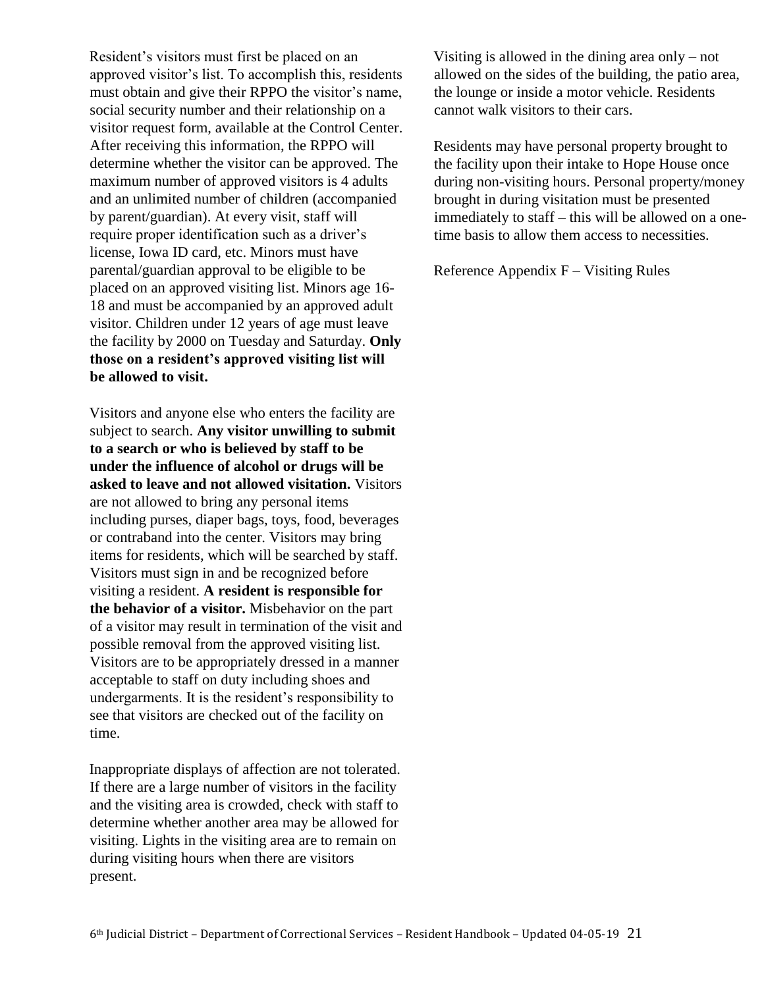Resident's visitors must first be placed on an approved visitor's list. To accomplish this, residents must obtain and give their RPPO the visitor's name, social security number and their relationship on a visitor request form, available at the Control Center. After receiving this information, the RPPO will determine whether the visitor can be approved. The maximum number of approved visitors is 4 adults and an unlimited number of children (accompanied by parent/guardian). At every visit, staff will require proper identification such as a driver's license, Iowa ID card, etc. Minors must have parental/guardian approval to be eligible to be placed on an approved visiting list. Minors age 16- 18 and must be accompanied by an approved adult visitor. Children under 12 years of age must leave the facility by 2000 on Tuesday and Saturday. **Only those on a resident's approved visiting list will be allowed to visit.** 

Visitors and anyone else who enters the facility are subject to search. **Any visitor unwilling to submit to a search or who is believed by staff to be under the influence of alcohol or drugs will be asked to leave and not allowed visitation.** Visitors are not allowed to bring any personal items including purses, diaper bags, toys, food, beverages or contraband into the center. Visitors may bring items for residents, which will be searched by staff. Visitors must sign in and be recognized before visiting a resident. **A resident is responsible for the behavior of a visitor.** Misbehavior on the part of a visitor may result in termination of the visit and possible removal from the approved visiting list. Visitors are to be appropriately dressed in a manner acceptable to staff on duty including shoes and undergarments. It is the resident's responsibility to see that visitors are checked out of the facility on time.

Inappropriate displays of affection are not tolerated. If there are a large number of visitors in the facility and the visiting area is crowded, check with staff to determine whether another area may be allowed for visiting. Lights in the visiting area are to remain on during visiting hours when there are visitors present.

Visiting is allowed in the dining area only – not allowed on the sides of the building, the patio area, the lounge or inside a motor vehicle. Residents cannot walk visitors to their cars.

Residents may have personal property brought to the facility upon their intake to Hope House once during non-visiting hours. Personal property/money brought in during visitation must be presented immediately to staff – this will be allowed on a onetime basis to allow them access to necessities.

Reference Appendix  $F - V$ isiting Rules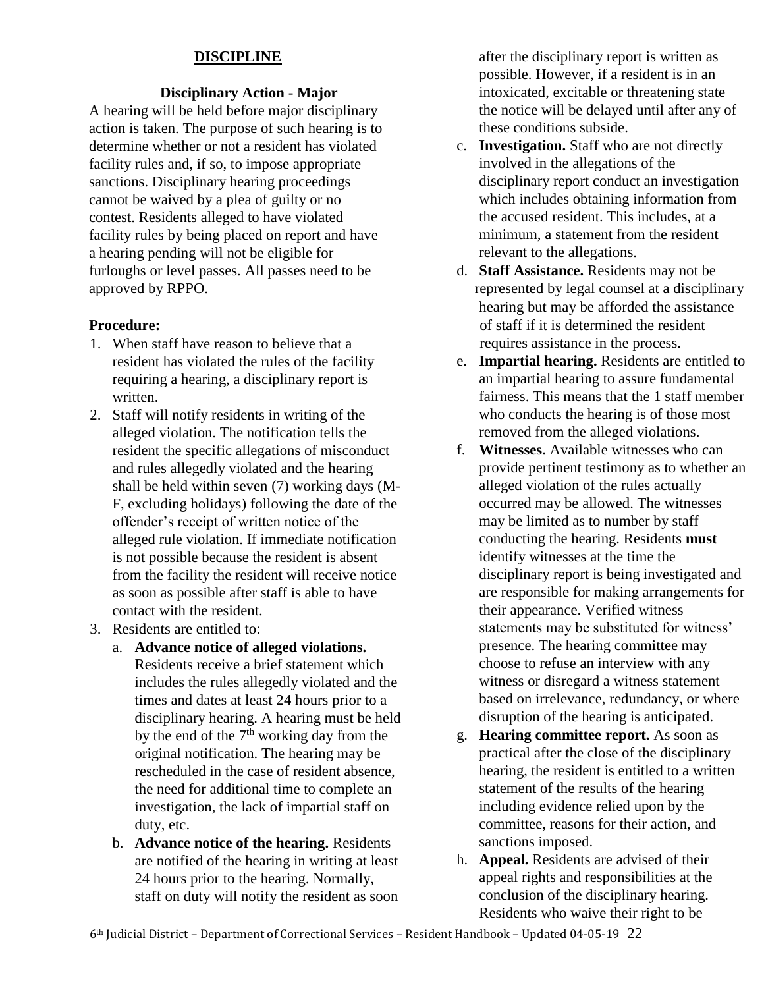# **DISCIPLINE**

# **Disciplinary Action - Major**

A hearing will be held before major disciplinary action is taken. The purpose of such hearing is to determine whether or not a resident has violated facility rules and, if so, to impose appropriate sanctions. Disciplinary hearing proceedings cannot be waived by a plea of guilty or no contest. Residents alleged to have violated facility rules by being placed on report and have a hearing pending will not be eligible for furloughs or level passes. All passes need to be approved by RPPO.

#### **Procedure:**

- 1. When staff have reason to believe that a resident has violated the rules of the facility requiring a hearing, a disciplinary report is written.
- 2. Staff will notify residents in writing of the alleged violation. The notification tells the resident the specific allegations of misconduct and rules allegedly violated and the hearing shall be held within seven (7) working days (M-F, excluding holidays) following the date of the offender's receipt of written notice of the alleged rule violation. If immediate notification is not possible because the resident is absent from the facility the resident will receive notice as soon as possible after staff is able to have contact with the resident.
- 3. Residents are entitled to:
	- a. **Advance notice of alleged violations.**  Residents receive a brief statement which includes the rules allegedly violated and the times and dates at least 24 hours prior to a disciplinary hearing. A hearing must be held by the end of the  $7<sup>th</sup>$  working day from the original notification. The hearing may be rescheduled in the case of resident absence, the need for additional time to complete an investigation, the lack of impartial staff on duty, etc.
	- b. **Advance notice of the hearing.** Residents are notified of the hearing in writing at least 24 hours prior to the hearing. Normally, staff on duty will notify the resident as soon

after the disciplinary report is written as possible. However, if a resident is in an intoxicated, excitable or threatening state the notice will be delayed until after any of these conditions subside.

- c. **Investigation.** Staff who are not directly involved in the allegations of the disciplinary report conduct an investigation which includes obtaining information from the accused resident. This includes, at a minimum, a statement from the resident relevant to the allegations.
- d. **Staff Assistance.** Residents may not be represented by legal counsel at a disciplinary hearing but may be afforded the assistance of staff if it is determined the resident requires assistance in the process.
- e. **Impartial hearing.** Residents are entitled to an impartial hearing to assure fundamental fairness. This means that the 1 staff member who conducts the hearing is of those most removed from the alleged violations.
- f. **Witnesses.** Available witnesses who can provide pertinent testimony as to whether an alleged violation of the rules actually occurred may be allowed. The witnesses may be limited as to number by staff conducting the hearing. Residents **must** identify witnesses at the time the disciplinary report is being investigated and are responsible for making arrangements for their appearance. Verified witness statements may be substituted for witness' presence. The hearing committee may choose to refuse an interview with any witness or disregard a witness statement based on irrelevance, redundancy, or where disruption of the hearing is anticipated.
- g. **Hearing committee report.** As soon as practical after the close of the disciplinary hearing, the resident is entitled to a written statement of the results of the hearing including evidence relied upon by the committee, reasons for their action, and sanctions imposed.
- h. **Appeal.** Residents are advised of their appeal rights and responsibilities at the conclusion of the disciplinary hearing. Residents who waive their right to be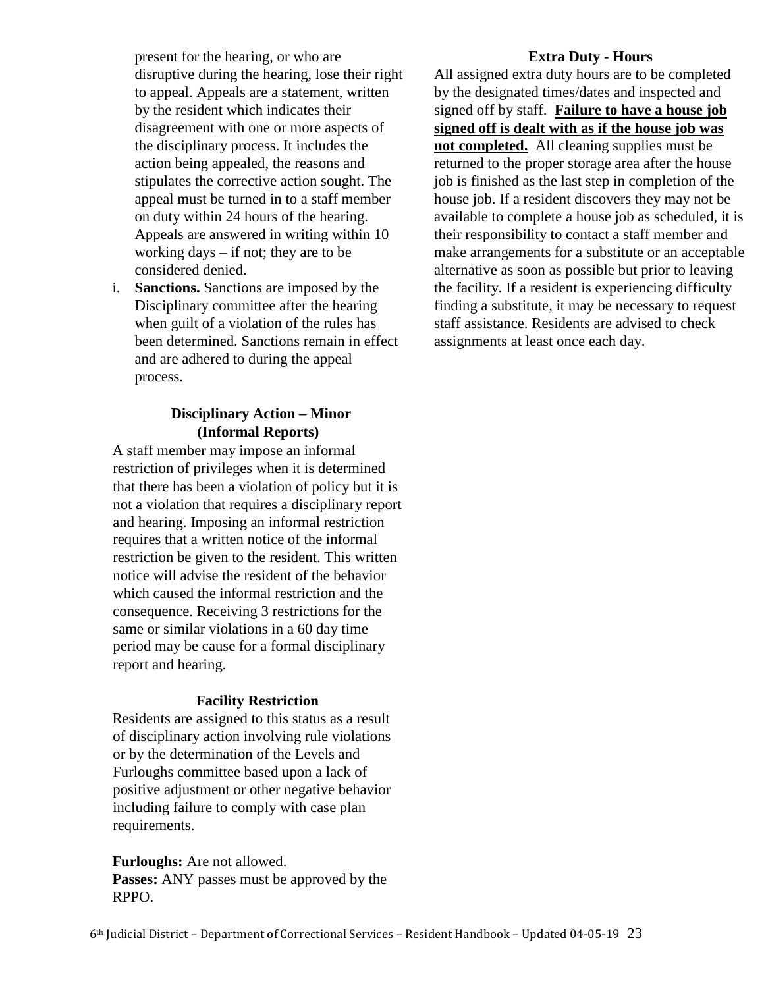present for the hearing, or who are disruptive during the hearing, lose their right to appeal. Appeals are a statement, written by the resident which indicates their disagreement with one or more aspects of the disciplinary process. It includes the action being appealed, the reasons and stipulates the corrective action sought. The appeal must be turned in to a staff member on duty within 24 hours of the hearing. Appeals are answered in writing within 10 working days – if not; they are to be considered denied.

i. **Sanctions.** Sanctions are imposed by the Disciplinary committee after the hearing when guilt of a violation of the rules has been determined. Sanctions remain in effect and are adhered to during the appeal process.

#### **Disciplinary Action – Minor (Informal Reports)**

A staff member may impose an informal restriction of privileges when it is determined that there has been a violation of policy but it is not a violation that requires a disciplinary report and hearing. Imposing an informal restriction requires that a written notice of the informal restriction be given to the resident. This written notice will advise the resident of the behavior which caused the informal restriction and the consequence. Receiving 3 restrictions for the same or similar violations in a 60 day time period may be cause for a formal disciplinary report and hearing.

#### **Facility Restriction**

Residents are assigned to this status as a result of disciplinary action involving rule violations or by the determination of the Levels and Furloughs committee based upon a lack of positive adjustment or other negative behavior including failure to comply with case plan requirements.

**Furloughs:** Are not allowed. **Passes:** ANY passes must be approved by the RPPO.

#### **Extra Duty - Hours**

All assigned extra duty hours are to be completed by the designated times/dates and inspected and signed off by staff. **Failure to have a house job signed off is dealt with as if the house job was not completed.** All cleaning supplies must be returned to the proper storage area after the house job is finished as the last step in completion of the house job. If a resident discovers they may not be available to complete a house job as scheduled, it is their responsibility to contact a staff member and make arrangements for a substitute or an acceptable alternative as soon as possible but prior to leaving the facility. If a resident is experiencing difficulty finding a substitute, it may be necessary to request staff assistance. Residents are advised to check assignments at least once each day.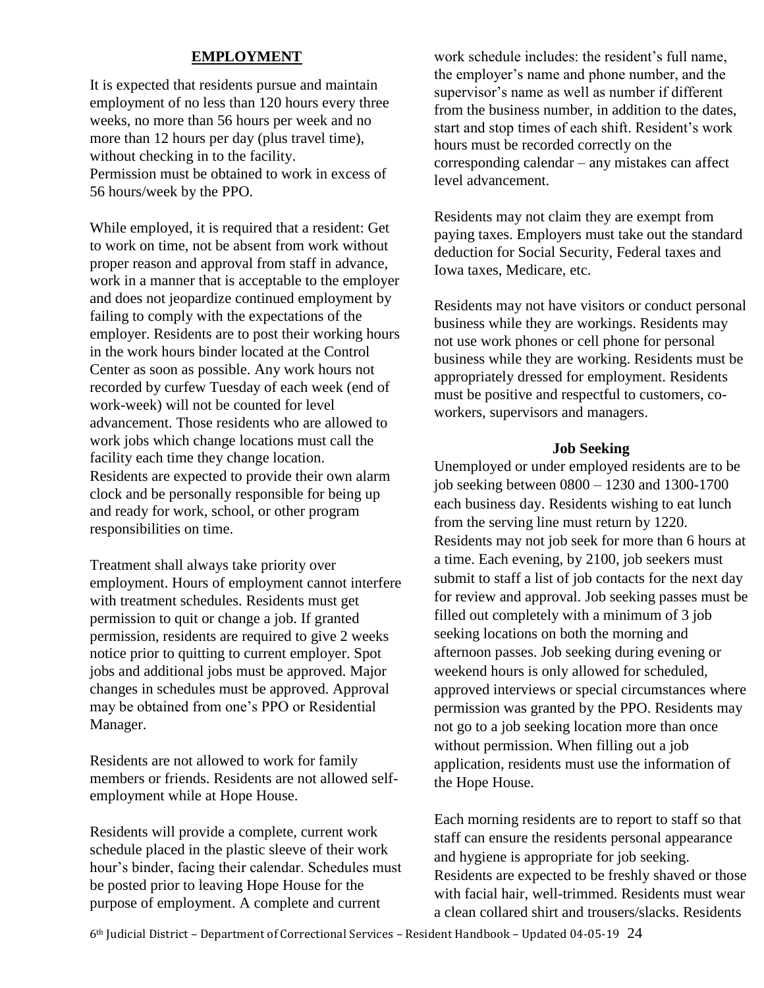# **EMPLOYMENT**

It is expected that residents pursue and maintain employment of no less than 120 hours every three weeks, no more than 56 hours per week and no more than 12 hours per day (plus travel time), without checking in to the facility. Permission must be obtained to work in excess of 56 hours/week by the PPO.

While employed, it is required that a resident: Get to work on time, not be absent from work without proper reason and approval from staff in advance, work in a manner that is acceptable to the employer and does not jeopardize continued employment by failing to comply with the expectations of the employer. Residents are to post their working hours in the work hours binder located at the Control Center as soon as possible. Any work hours not recorded by curfew Tuesday of each week (end of work-week) will not be counted for level advancement. Those residents who are allowed to work jobs which change locations must call the facility each time they change location. Residents are expected to provide their own alarm clock and be personally responsible for being up and ready for work, school, or other program responsibilities on time.

Treatment shall always take priority over employment. Hours of employment cannot interfere with treatment schedules. Residents must get permission to quit or change a job. If granted permission, residents are required to give 2 weeks notice prior to quitting to current employer. Spot jobs and additional jobs must be approved. Major changes in schedules must be approved. Approval may be obtained from one's PPO or Residential Manager.

Residents are not allowed to work for family members or friends. Residents are not allowed selfemployment while at Hope House.

Residents will provide a complete, current work schedule placed in the plastic sleeve of their work hour's binder, facing their calendar. Schedules must be posted prior to leaving Hope House for the purpose of employment. A complete and current

work schedule includes: the resident's full name, the employer's name and phone number, and the supervisor's name as well as number if different from the business number, in addition to the dates, start and stop times of each shift. Resident's work hours must be recorded correctly on the corresponding calendar – any mistakes can affect level advancement.

Residents may not claim they are exempt from paying taxes. Employers must take out the standard deduction for Social Security, Federal taxes and Iowa taxes, Medicare, etc.

Residents may not have visitors or conduct personal business while they are workings. Residents may not use work phones or cell phone for personal business while they are working. Residents must be appropriately dressed for employment. Residents must be positive and respectful to customers, coworkers, supervisors and managers.

#### **Job Seeking**

Unemployed or under employed residents are to be job seeking between 0800 – 1230 and 1300-1700 each business day. Residents wishing to eat lunch from the serving line must return by 1220. Residents may not job seek for more than 6 hours at a time. Each evening, by 2100, job seekers must submit to staff a list of job contacts for the next day for review and approval. Job seeking passes must be filled out completely with a minimum of 3 job seeking locations on both the morning and afternoon passes. Job seeking during evening or weekend hours is only allowed for scheduled, approved interviews or special circumstances where permission was granted by the PPO. Residents may not go to a job seeking location more than once without permission. When filling out a job application, residents must use the information of the Hope House.

Each morning residents are to report to staff so that staff can ensure the residents personal appearance and hygiene is appropriate for job seeking. Residents are expected to be freshly shaved or those with facial hair, well-trimmed. Residents must wear a clean collared shirt and trousers/slacks. Residents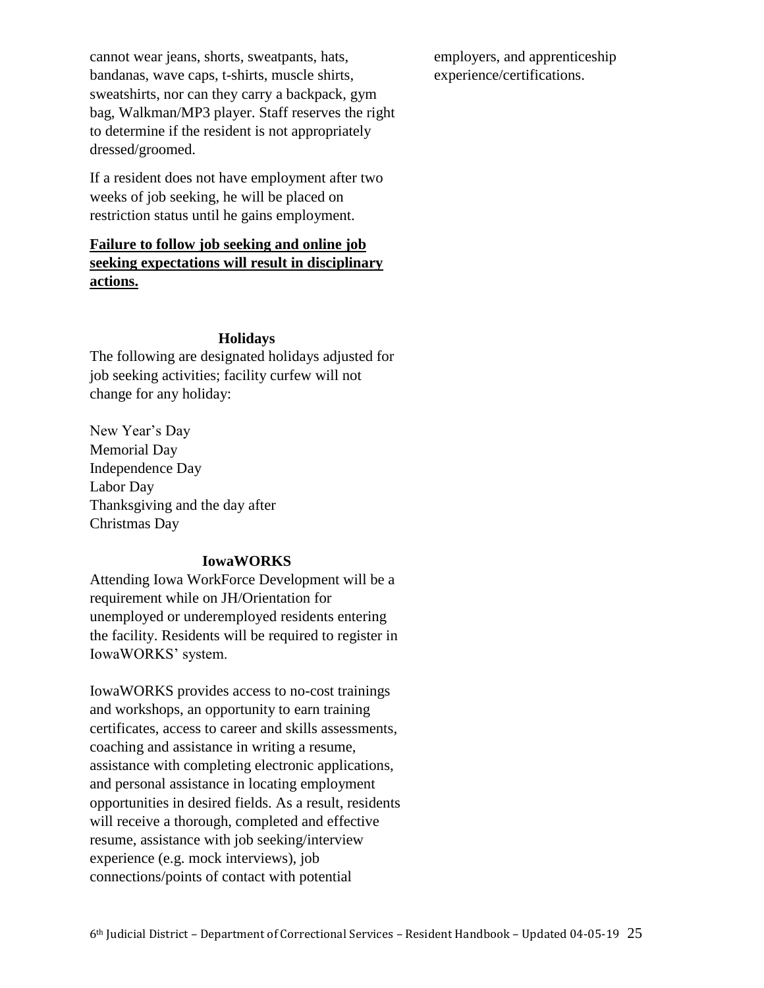cannot wear jeans, shorts, sweatpants, hats, bandanas, wave caps, t-shirts, muscle shirts, sweatshirts, nor can they carry a backpack, gym bag, Walkman/MP3 player. Staff reserves the right to determine if the resident is not appropriately dressed/groomed.

If a resident does not have employment after two weeks of job seeking, he will be placed on restriction status until he gains employment.

# **Failure to follow job seeking and online job seeking expectations will result in disciplinary actions.**

#### **Holidays**

The following are designated holidays adjusted for job seeking activities; facility curfew will not change for any holiday:

New Year's Day Memorial Day Independence Day Labor Day Thanksgiving and the day after Christmas Day

#### **IowaWORKS**

Attending Iowa WorkForce Development will be a requirement while on JH/Orientation for unemployed or underemployed residents entering the facility. Residents will be required to register in IowaWORKS' system.

IowaWORKS provides access to no-cost trainings and workshops, an opportunity to earn training certificates, access to career and skills assessments, coaching and assistance in writing a resume, assistance with completing electronic applications, and personal assistance in locating employment opportunities in desired fields. As a result, residents will receive a thorough, completed and effective resume, assistance with job seeking/interview experience (e.g. mock interviews), job connections/points of contact with potential

employers, and apprenticeship experience/certifications.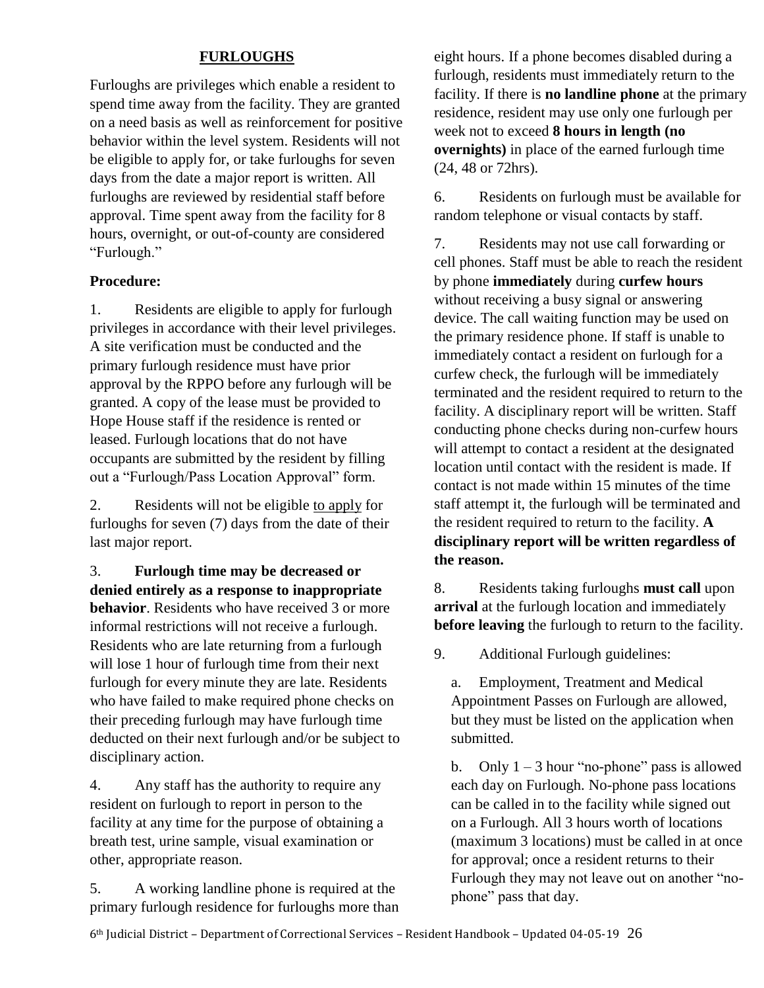# **FURLOUGHS**

Furloughs are privileges which enable a resident to spend time away from the facility. They are granted on a need basis as well as reinforcement for positive behavior within the level system. Residents will not be eligible to apply for, or take furloughs for seven days from the date a major report is written. All furloughs are reviewed by residential staff before approval. Time spent away from the facility for 8 hours, overnight, or out-of-county are considered "Furlough."

# **Procedure:**

1. Residents are eligible to apply for furlough privileges in accordance with their level privileges. A site verification must be conducted and the primary furlough residence must have prior approval by the RPPO before any furlough will be granted. A copy of the lease must be provided to Hope House staff if the residence is rented or leased. Furlough locations that do not have occupants are submitted by the resident by filling out a "Furlough/Pass Location Approval" form.

2. Residents will not be eligible to apply for furloughs for seven (7) days from the date of their last major report.

3. **Furlough time may be decreased or denied entirely as a response to inappropriate behavior**. Residents who have received 3 or more informal restrictions will not receive a furlough. Residents who are late returning from a furlough will lose 1 hour of furlough time from their next furlough for every minute they are late. Residents who have failed to make required phone checks on their preceding furlough may have furlough time deducted on their next furlough and/or be subject to disciplinary action.

4. Any staff has the authority to require any resident on furlough to report in person to the facility at any time for the purpose of obtaining a breath test, urine sample, visual examination or other, appropriate reason.

5. A working landline phone is required at the primary furlough residence for furloughs more than eight hours. If a phone becomes disabled during a furlough, residents must immediately return to the facility. If there is **no landline phone** at the primary residence, resident may use only one furlough per week not to exceed **8 hours in length (no overnights)** in place of the earned furlough time (24, 48 or 72hrs).

6. Residents on furlough must be available for random telephone or visual contacts by staff.

7. Residents may not use call forwarding or cell phones. Staff must be able to reach the resident by phone **immediately** during **curfew hours** without receiving a busy signal or answering device. The call waiting function may be used on the primary residence phone. If staff is unable to immediately contact a resident on furlough for a curfew check, the furlough will be immediately terminated and the resident required to return to the facility. A disciplinary report will be written. Staff conducting phone checks during non-curfew hours will attempt to contact a resident at the designated location until contact with the resident is made. If contact is not made within 15 minutes of the time staff attempt it, the furlough will be terminated and the resident required to return to the facility. **A disciplinary report will be written regardless of the reason.**

8. Residents taking furloughs **must call** upon **arrival** at the furlough location and immediately **before leaving** the furlough to return to the facility.

9. Additional Furlough guidelines:

a. Employment, Treatment and Medical Appointment Passes on Furlough are allowed, but they must be listed on the application when submitted.

b. Only  $1 - 3$  hour "no-phone" pass is allowed each day on Furlough. No-phone pass locations can be called in to the facility while signed out on a Furlough. All 3 hours worth of locations (maximum 3 locations) must be called in at once for approval; once a resident returns to their Furlough they may not leave out on another "nophone" pass that day.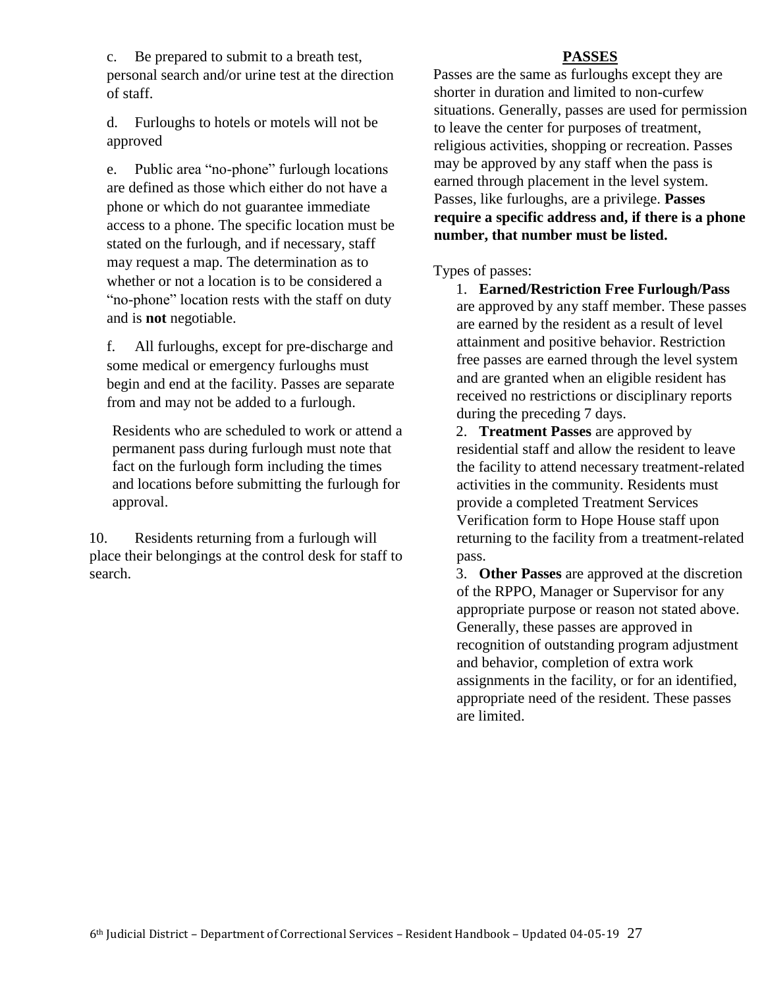c. Be prepared to submit to a breath test, personal search and/or urine test at the direction of staff.

d. Furloughs to hotels or motels will not be approved

e. Public area "no-phone" furlough locations are defined as those which either do not have a phone or which do not guarantee immediate access to a phone. The specific location must be stated on the furlough, and if necessary, staff may request a map. The determination as to whether or not a location is to be considered a "no-phone" location rests with the staff on duty and is **not** negotiable.

f. All furloughs, except for pre-discharge and some medical or emergency furloughs must begin and end at the facility. Passes are separate from and may not be added to a furlough.

Residents who are scheduled to work or attend a permanent pass during furlough must note that fact on the furlough form including the times and locations before submitting the furlough for approval.

10. Residents returning from a furlough will place their belongings at the control desk for staff to search.

# **PASSES**

Passes are the same as furloughs except they are shorter in duration and limited to non-curfew situations. Generally, passes are used for permission to leave the center for purposes of treatment, religious activities, shopping or recreation. Passes may be approved by any staff when the pass is earned through placement in the level system. Passes, like furloughs, are a privilege. **Passes require a specific address and, if there is a phone number, that number must be listed.**

Types of passes:

1. **Earned/Restriction Free Furlough/Pass** are approved by any staff member. These passes are earned by the resident as a result of level attainment and positive behavior. Restriction free passes are earned through the level system and are granted when an eligible resident has received no restrictions or disciplinary reports during the preceding 7 days.

2. **Treatment Passes** are approved by residential staff and allow the resident to leave the facility to attend necessary treatment-related activities in the community. Residents must provide a completed Treatment Services Verification form to Hope House staff upon returning to the facility from a treatment-related pass.

3. **Other Passes** are approved at the discretion of the RPPO, Manager or Supervisor for any appropriate purpose or reason not stated above. Generally, these passes are approved in recognition of outstanding program adjustment and behavior, completion of extra work assignments in the facility, or for an identified, appropriate need of the resident. These passes are limited.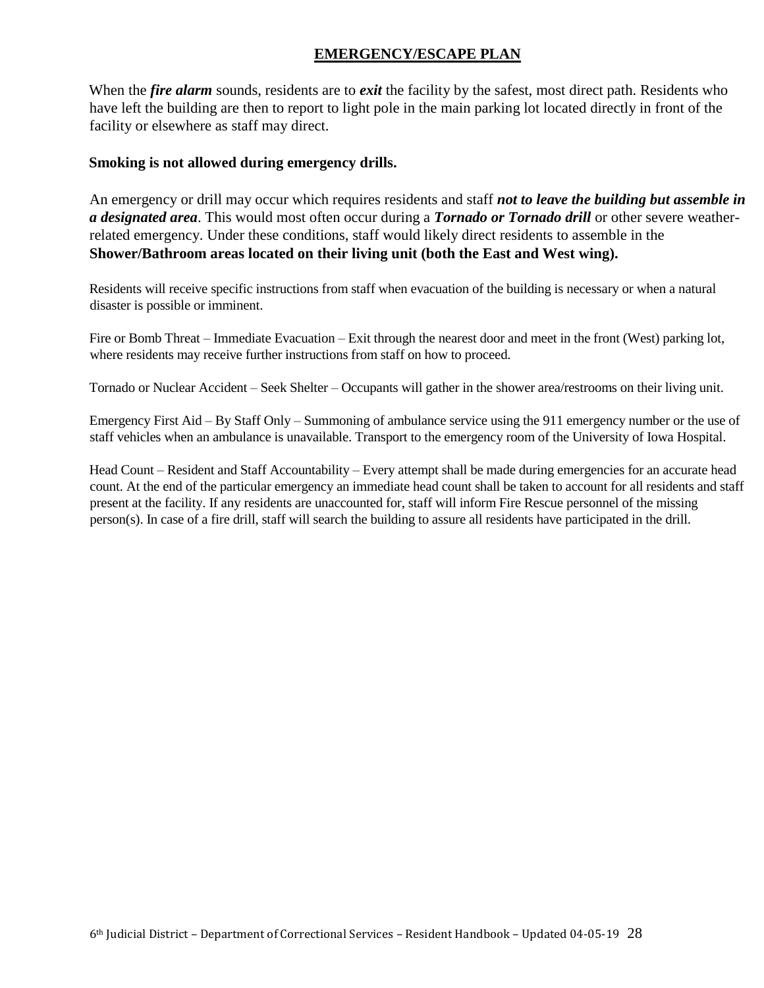# **EMERGENCY/ESCAPE PLAN**

When the *fire alarm* sounds, residents are to *exit* the facility by the safest, most direct path. Residents who have left the building are then to report to light pole in the main parking lot located directly in front of the facility or elsewhere as staff may direct.

#### **Smoking is not allowed during emergency drills.**

An emergency or drill may occur which requires residents and staff *not to leave the building but assemble in a designated area*. This would most often occur during a *Tornado or Tornado drill* or other severe weatherrelated emergency. Under these conditions, staff would likely direct residents to assemble in the **Shower/Bathroom areas located on their living unit (both the East and West wing).**

Residents will receive specific instructions from staff when evacuation of the building is necessary or when a natural disaster is possible or imminent.

Fire or Bomb Threat – Immediate Evacuation – Exit through the nearest door and meet in the front (West) parking lot, where residents may receive further instructions from staff on how to proceed.

Tornado or Nuclear Accident – Seek Shelter – Occupants will gather in the shower area/restrooms on their living unit.

Emergency First Aid – By Staff Only – Summoning of ambulance service using the 911 emergency number or the use of staff vehicles when an ambulance is unavailable. Transport to the emergency room of the University of Iowa Hospital.

Head Count – Resident and Staff Accountability – Every attempt shall be made during emergencies for an accurate head count. At the end of the particular emergency an immediate head count shall be taken to account for all residents and staff present at the facility. If any residents are unaccounted for, staff will inform Fire Rescue personnel of the missing person(s). In case of a fire drill, staff will search the building to assure all residents have participated in the drill.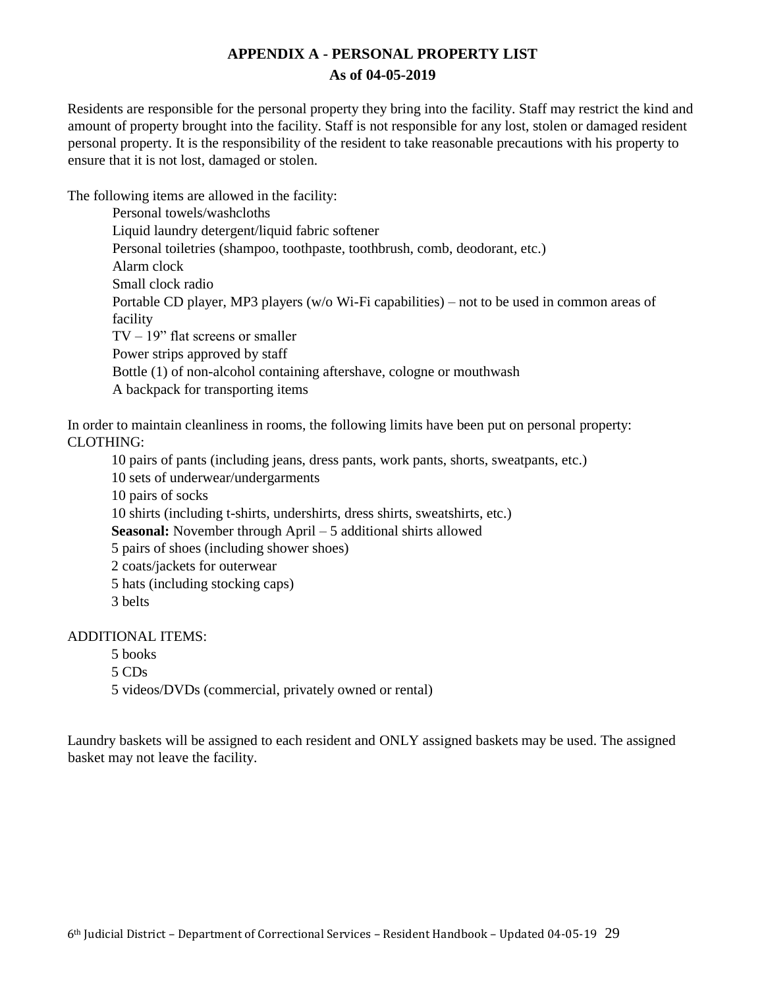# **APPENDIX A - PERSONAL PROPERTY LIST As of 04-05-2019**

Residents are responsible for the personal property they bring into the facility. Staff may restrict the kind and amount of property brought into the facility. Staff is not responsible for any lost, stolen or damaged resident personal property. It is the responsibility of the resident to take reasonable precautions with his property to ensure that it is not lost, damaged or stolen.

The following items are allowed in the facility:

Personal towels/washcloths Liquid laundry detergent/liquid fabric softener Personal toiletries (shampoo, toothpaste, toothbrush, comb, deodorant, etc.) Alarm clock Small clock radio Portable CD player, MP3 players (w/o Wi-Fi capabilities) – not to be used in common areas of facility  $TV - 19$ " flat screens or smaller Power strips approved by staff Bottle (1) of non-alcohol containing aftershave, cologne or mouthwash A backpack for transporting items

In order to maintain cleanliness in rooms, the following limits have been put on personal property: CLOTHING:

10 pairs of pants (including jeans, dress pants, work pants, shorts, sweatpants, etc.) 10 sets of underwear/undergarments 10 pairs of socks 10 shirts (including t-shirts, undershirts, dress shirts, sweatshirts, etc.) **Seasonal:** November through April – 5 additional shirts allowed 5 pairs of shoes (including shower shoes) 2 coats/jackets for outerwear 5 hats (including stocking caps) 3 belts

# ADDITIONAL ITEMS:

5 books

5 CDs

5 videos/DVDs (commercial, privately owned or rental)

Laundry baskets will be assigned to each resident and ONLY assigned baskets may be used. The assigned basket may not leave the facility.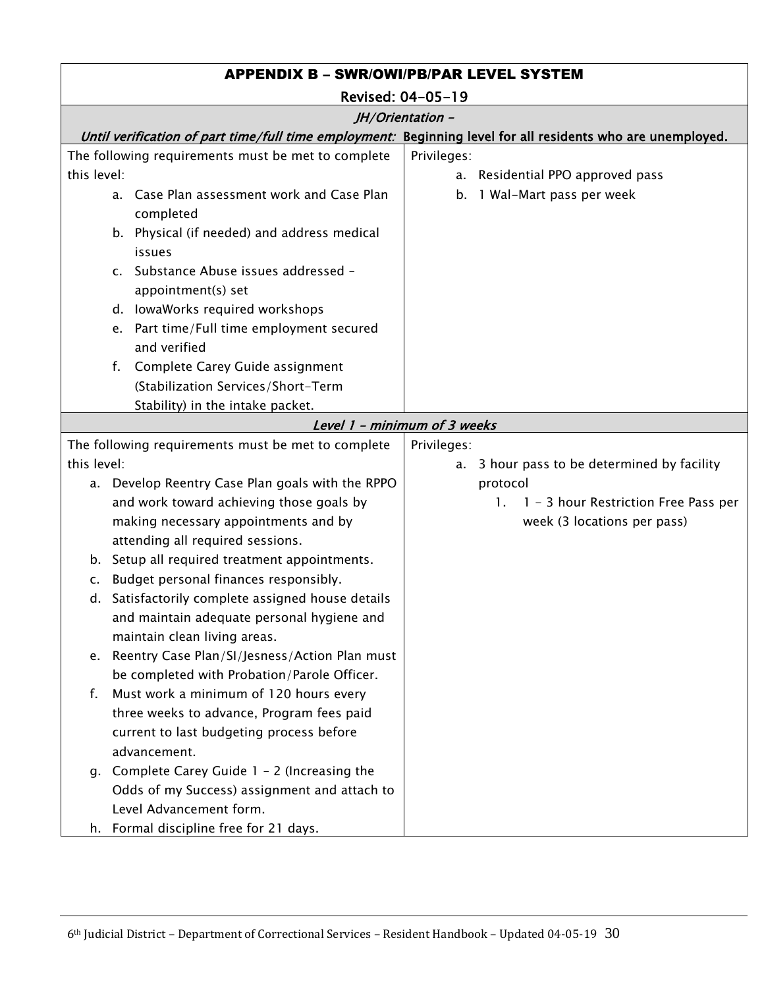| <b>APPENDIX B - SWR/OWI/PB/PAR LEVEL SYSTEM</b> |                                                                                                 |                                                                                                             |  |
|-------------------------------------------------|-------------------------------------------------------------------------------------------------|-------------------------------------------------------------------------------------------------------------|--|
|                                                 | Revised: 04-05-19                                                                               |                                                                                                             |  |
|                                                 |                                                                                                 | JH/Orientation -                                                                                            |  |
|                                                 |                                                                                                 | Until verification of part time/full time employment: Beginning level for all residents who are unemployed. |  |
|                                                 | The following requirements must be met to complete                                              | Privileges:                                                                                                 |  |
| this level:                                     |                                                                                                 | a. Residential PPO approved pass                                                                            |  |
|                                                 | a. Case Plan assessment work and Case Plan<br>completed                                         | b. 1 Wal-Mart pass per week                                                                                 |  |
|                                                 | b. Physical (if needed) and address medical<br>issues                                           |                                                                                                             |  |
|                                                 | c. Substance Abuse issues addressed -<br>appointment(s) set                                     |                                                                                                             |  |
|                                                 | d. lowaWorks required workshops                                                                 |                                                                                                             |  |
|                                                 | e. Part time/Full time employment secured<br>and verified                                       |                                                                                                             |  |
|                                                 | Complete Carey Guide assignment<br>f.                                                           |                                                                                                             |  |
|                                                 | (Stabilization Services/Short-Term                                                              |                                                                                                             |  |
|                                                 | Stability) in the intake packet.                                                                |                                                                                                             |  |
|                                                 |                                                                                                 | Level 1 - minimum of 3 weeks                                                                                |  |
|                                                 | The following requirements must be met to complete                                              | Privileges:                                                                                                 |  |
| this level:                                     |                                                                                                 | a. 3 hour pass to be determined by facility                                                                 |  |
|                                                 | a. Develop Reentry Case Plan goals with the RPPO                                                | protocol                                                                                                    |  |
|                                                 | and work toward achieving those goals by                                                        | 1 - 3 hour Restriction Free Pass per<br>1.                                                                  |  |
|                                                 | making necessary appointments and by                                                            | week (3 locations per pass)                                                                                 |  |
|                                                 | attending all required sessions.                                                                |                                                                                                             |  |
| b.                                              | Setup all required treatment appointments.                                                      |                                                                                                             |  |
| c.                                              | Budget personal finances responsibly.                                                           |                                                                                                             |  |
|                                                 | d. Satisfactorily complete assigned house details                                               |                                                                                                             |  |
|                                                 | and maintain adequate personal hygiene and                                                      |                                                                                                             |  |
|                                                 | maintain clean living areas.                                                                    |                                                                                                             |  |
|                                                 | e. Reentry Case Plan/SI/Jesness/Action Plan must<br>be completed with Probation/Parole Officer. |                                                                                                             |  |
| f.                                              | Must work a minimum of 120 hours every                                                          |                                                                                                             |  |
|                                                 | three weeks to advance, Program fees paid                                                       |                                                                                                             |  |
|                                                 | current to last budgeting process before                                                        |                                                                                                             |  |
|                                                 | advancement.                                                                                    |                                                                                                             |  |
|                                                 | g. Complete Carey Guide 1 - 2 (Increasing the                                                   |                                                                                                             |  |
|                                                 | Odds of my Success) assignment and attach to                                                    |                                                                                                             |  |
|                                                 | Level Advancement form.                                                                         |                                                                                                             |  |
|                                                 | h. Formal discipline free for 21 days.                                                          |                                                                                                             |  |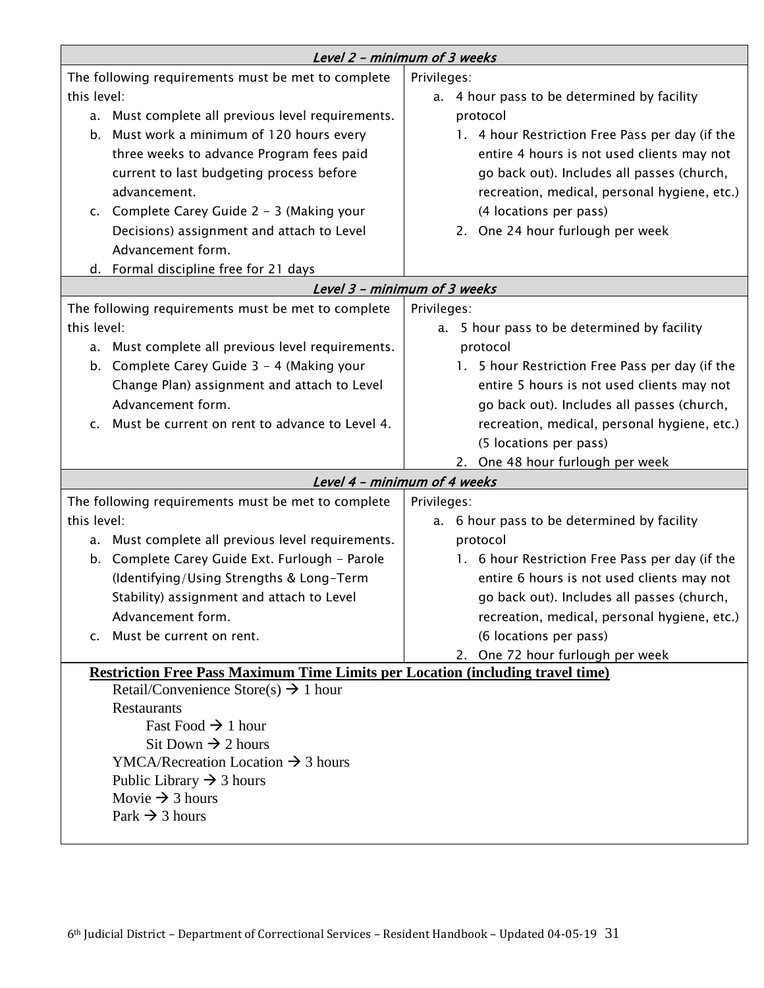|                                                                                       | Level 2 - minimum of 3 weeks                                        |                                                 |  |
|---------------------------------------------------------------------------------------|---------------------------------------------------------------------|-------------------------------------------------|--|
| The following requirements must be met to complete                                    |                                                                     | Privileges:                                     |  |
| this level:                                                                           |                                                                     | a. 4 hour pass to be determined by facility     |  |
|                                                                                       | a. Must complete all previous level requirements.                   | protocol                                        |  |
|                                                                                       | b. Must work a minimum of 120 hours every                           | 1. 4 hour Restriction Free Pass per day (if the |  |
|                                                                                       | three weeks to advance Program fees paid                            | entire 4 hours is not used clients may not      |  |
|                                                                                       | current to last budgeting process before                            | go back out). Includes all passes (church,      |  |
|                                                                                       | advancement.                                                        | recreation, medical, personal hygiene, etc.)    |  |
|                                                                                       | c. Complete Carey Guide 2 - 3 (Making your                          | (4 locations per pass)                          |  |
|                                                                                       | Decisions) assignment and attach to Level                           | 2. One 24 hour furlough per week                |  |
|                                                                                       | Advancement form.                                                   |                                                 |  |
|                                                                                       | d. Formal discipline free for 21 days                               |                                                 |  |
|                                                                                       |                                                                     | Level 3 - minimum of 3 weeks                    |  |
|                                                                                       | The following requirements must be met to complete                  | Privileges:                                     |  |
| this level:                                                                           |                                                                     | a. 5 hour pass to be determined by facility     |  |
|                                                                                       | a. Must complete all previous level requirements.                   | protocol                                        |  |
| b.                                                                                    | Complete Carey Guide 3 - 4 (Making your                             | 1. 5 hour Restriction Free Pass per day (if the |  |
|                                                                                       | Change Plan) assignment and attach to Level                         | entire 5 hours is not used clients may not      |  |
|                                                                                       | Advancement form.                                                   | go back out). Includes all passes (church,      |  |
| C.                                                                                    | Must be current on rent to advance to Level 4.                      | recreation, medical, personal hygiene, etc.)    |  |
|                                                                                       |                                                                     | (5 locations per pass)                          |  |
|                                                                                       |                                                                     | 2. One 48 hour furlough per week                |  |
|                                                                                       |                                                                     | Level 4 - minimum of 4 weeks                    |  |
|                                                                                       | The following requirements must be met to complete                  | Privileges:                                     |  |
| this level:                                                                           |                                                                     | a. 6 hour pass to be determined by facility     |  |
|                                                                                       | a. Must complete all previous level requirements.                   | protocol                                        |  |
| b.                                                                                    | Complete Carey Guide Ext. Furlough - Parole                         | 1. 6 hour Restriction Free Pass per day (if the |  |
|                                                                                       | (Identifying/Using Strengths & Long-Term                            | entire 6 hours is not used clients may not      |  |
|                                                                                       | Stability) assignment and attach to Level                           | go back out). Includes all passes (church,      |  |
|                                                                                       | Advancement form.                                                   | recreation, medical, personal hygiene, etc.)    |  |
|                                                                                       | c. Must be current on rent.                                         | (6 locations per pass)                          |  |
|                                                                                       |                                                                     | 2. One 72 hour furlough per week                |  |
| <b>Restriction Free Pass Maximum Time Limits per Location (including travel time)</b> |                                                                     |                                                 |  |
| Retail/Convenience Store(s) $\rightarrow$ 1 hour                                      |                                                                     |                                                 |  |
|                                                                                       | <b>Restaurants</b>                                                  |                                                 |  |
|                                                                                       | Fast Food $\rightarrow$ 1 hour                                      |                                                 |  |
|                                                                                       | Sit Down $\rightarrow$ 2 hours                                      |                                                 |  |
|                                                                                       | YMCA/Recreation Location $\rightarrow$ 3 hours                      |                                                 |  |
|                                                                                       | Public Library $\rightarrow$ 3 hours<br>Movie $\rightarrow$ 3 hours |                                                 |  |
|                                                                                       | Park $\rightarrow$ 3 hours                                          |                                                 |  |
|                                                                                       |                                                                     |                                                 |  |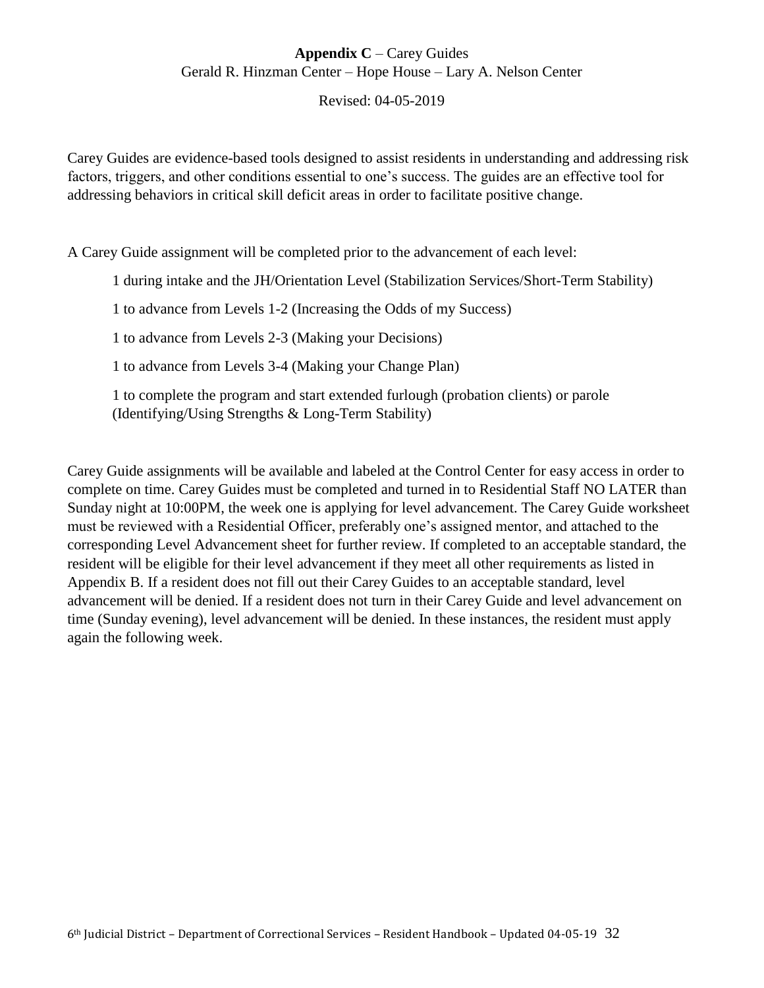# **Appendix C** – Carey Guides Gerald R. Hinzman Center – Hope House – Lary A. Nelson Center

Revised: 04-05-2019

Carey Guides are evidence-based tools designed to assist residents in understanding and addressing risk factors, triggers, and other conditions essential to one's success. The guides are an effective tool for addressing behaviors in critical skill deficit areas in order to facilitate positive change.

A Carey Guide assignment will be completed prior to the advancement of each level:

1 during intake and the JH/Orientation Level (Stabilization Services/Short-Term Stability)

1 to advance from Levels 1-2 (Increasing the Odds of my Success)

1 to advance from Levels 2-3 (Making your Decisions)

1 to advance from Levels 3-4 (Making your Change Plan)

1 to complete the program and start extended furlough (probation clients) or parole (Identifying/Using Strengths & Long-Term Stability)

Carey Guide assignments will be available and labeled at the Control Center for easy access in order to complete on time. Carey Guides must be completed and turned in to Residential Staff NO LATER than Sunday night at 10:00PM, the week one is applying for level advancement. The Carey Guide worksheet must be reviewed with a Residential Officer, preferably one's assigned mentor, and attached to the corresponding Level Advancement sheet for further review. If completed to an acceptable standard, the resident will be eligible for their level advancement if they meet all other requirements as listed in Appendix B. If a resident does not fill out their Carey Guides to an acceptable standard, level advancement will be denied. If a resident does not turn in their Carey Guide and level advancement on time (Sunday evening), level advancement will be denied. In these instances, the resident must apply again the following week.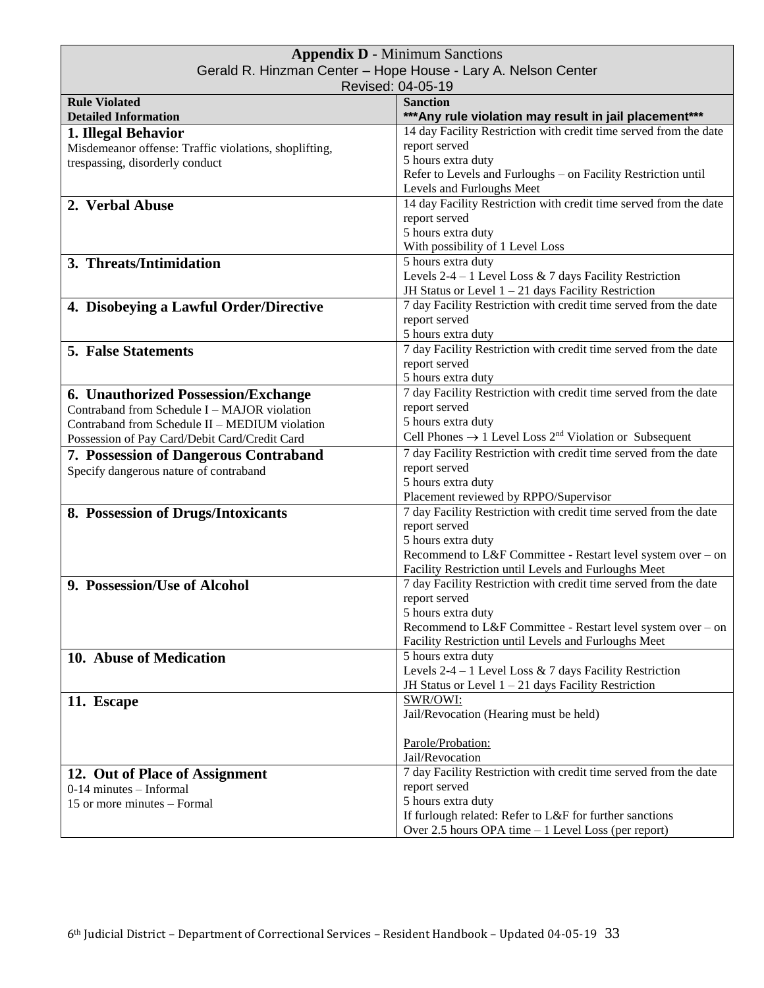| <b>Appendix D - Minimum Sanctions</b>                         |                                                                                |  |
|---------------------------------------------------------------|--------------------------------------------------------------------------------|--|
| Gerald R. Hinzman Center - Hope House - Lary A. Nelson Center |                                                                                |  |
|                                                               | Revised: 04-05-19                                                              |  |
| <b>Rule Violated</b>                                          | <b>Sanction</b>                                                                |  |
| <b>Detailed Information</b>                                   | *** Any rule violation may result in jail placement***                         |  |
| 1. Illegal Behavior                                           | 14 day Facility Restriction with credit time served from the date              |  |
| Misdemeanor offense: Traffic violations, shoplifting,         | report served                                                                  |  |
| trespassing, disorderly conduct                               | 5 hours extra duty                                                             |  |
|                                                               | Refer to Levels and Furloughs - on Facility Restriction until                  |  |
|                                                               | Levels and Furloughs Meet                                                      |  |
| 2. Verbal Abuse                                               | 14 day Facility Restriction with credit time served from the date              |  |
|                                                               | report served                                                                  |  |
|                                                               | 5 hours extra duty                                                             |  |
|                                                               | With possibility of 1 Level Loss                                               |  |
| 3. Threats/Intimidation                                       | 5 hours extra duty                                                             |  |
|                                                               | Levels $2-4-1$ Level Loss & 7 days Facility Restriction                        |  |
|                                                               | JH Status or Level $1 - 21$ days Facility Restriction                          |  |
| 4. Disobeying a Lawful Order/Directive                        | 7 day Facility Restriction with credit time served from the date               |  |
|                                                               | report served                                                                  |  |
|                                                               | 5 hours extra duty                                                             |  |
| <b>5. False Statements</b>                                    | 7 day Facility Restriction with credit time served from the date               |  |
|                                                               | report served                                                                  |  |
|                                                               | 5 hours extra duty                                                             |  |
| 6. Unauthorized Possession/Exchange                           | 7 day Facility Restriction with credit time served from the date               |  |
| Contraband from Schedule I - MAJOR violation                  | report served                                                                  |  |
| Contraband from Schedule II - MEDIUM violation                | 5 hours extra duty                                                             |  |
| Possession of Pay Card/Debit Card/Credit Card                 | Cell Phones $\rightarrow$ 1 Level Loss 2 <sup>nd</sup> Violation or Subsequent |  |
| <b>7. Possession of Dangerous Contraband</b>                  | 7 day Facility Restriction with credit time served from the date               |  |
| Specify dangerous nature of contraband                        | report served                                                                  |  |
|                                                               | 5 hours extra duty                                                             |  |
|                                                               | Placement reviewed by RPPO/Supervisor                                          |  |
| 8. Possession of Drugs/Intoxicants                            | 7 day Facility Restriction with credit time served from the date               |  |
|                                                               | report served                                                                  |  |
|                                                               | 5 hours extra duty                                                             |  |
|                                                               | Recommend to L&F Committee - Restart level system over - on                    |  |
|                                                               | Facility Restriction until Levels and Furloughs Meet                           |  |
| 9. Possession/Use of Alcohol                                  | 7 day Facility Restriction with credit time served from the date               |  |
|                                                               | report served                                                                  |  |
|                                                               | 5 hours extra duty                                                             |  |
|                                                               | Recommend to L&F Committee - Restart level system over – on                    |  |
|                                                               | Facility Restriction until Levels and Furloughs Meet                           |  |
| 10. Abuse of Medication                                       | 5 hours extra duty                                                             |  |
|                                                               | Levels 2-4 – 1 Level Loss & 7 days Facility Restriction                        |  |
|                                                               | JH Status or Level $1 - 21$ days Facility Restriction                          |  |
| 11. Escape                                                    | SWR/OWI:                                                                       |  |
|                                                               | Jail/Revocation (Hearing must be held)                                         |  |
|                                                               |                                                                                |  |
|                                                               | Parole/Probation:                                                              |  |
|                                                               | Jail/Revocation                                                                |  |
| 12. Out of Place of Assignment                                | 7 day Facility Restriction with credit time served from the date               |  |
| $0-14$ minutes - Informal                                     | report served                                                                  |  |
| 15 or more minutes – Formal                                   | 5 hours extra duty                                                             |  |
|                                                               | If furlough related: Refer to L&F for further sanctions                        |  |
|                                                               | Over 2.5 hours OPA time - 1 Level Loss (per report)                            |  |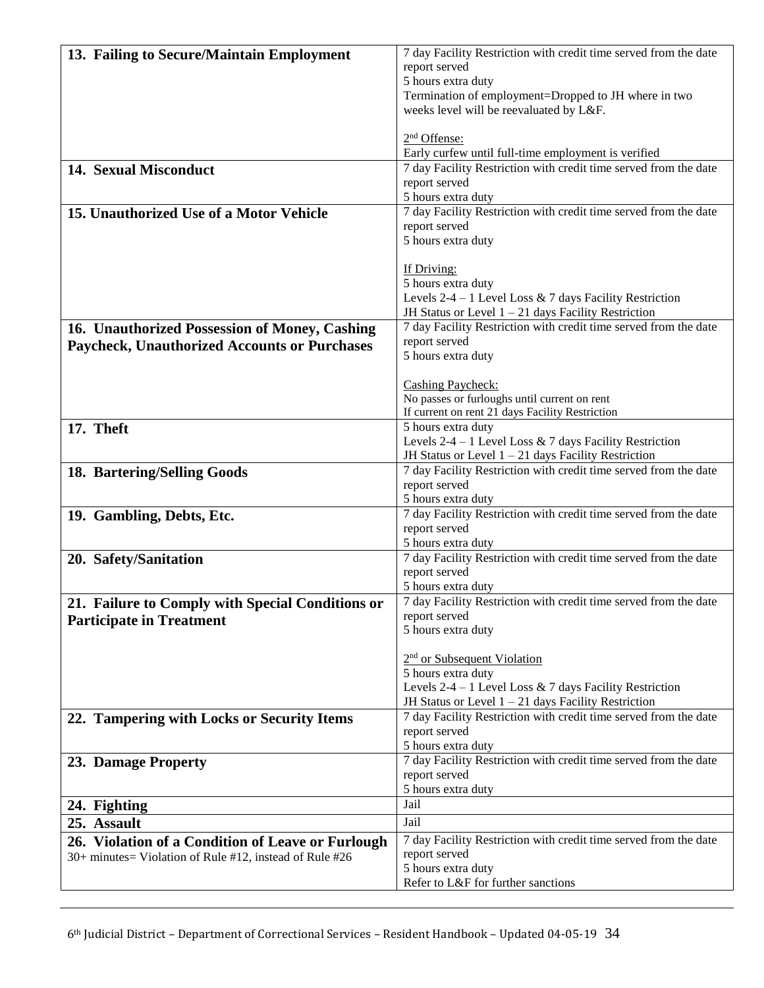| 13. Failing to Secure/Maintain Employment               | 7 day Facility Restriction with credit time served from the date                  |
|---------------------------------------------------------|-----------------------------------------------------------------------------------|
|                                                         | report served                                                                     |
|                                                         | 5 hours extra duty                                                                |
|                                                         | Termination of employment=Dropped to JH where in two                              |
|                                                         | weeks level will be reevaluated by L&F.                                           |
|                                                         | 2 <sup>nd</sup> Offense:                                                          |
|                                                         | Early curfew until full-time employment is verified                               |
| 14. Sexual Misconduct                                   | 7 day Facility Restriction with credit time served from the date                  |
|                                                         | report served                                                                     |
|                                                         | 5 hours extra duty                                                                |
| 15. Unauthorized Use of a Motor Vehicle                 | 7 day Facility Restriction with credit time served from the date                  |
|                                                         | report served                                                                     |
|                                                         | 5 hours extra duty                                                                |
|                                                         | If Driving:                                                                       |
|                                                         | 5 hours extra duty                                                                |
|                                                         | Levels 2-4 – 1 Level Loss & 7 days Facility Restriction                           |
|                                                         | JH Status or Level $1 - 21$ days Facility Restriction                             |
| 16. Unauthorized Possession of Money, Cashing           | 7 day Facility Restriction with credit time served from the date                  |
| <b>Paycheck, Unauthorized Accounts or Purchases</b>     | report served                                                                     |
|                                                         | 5 hours extra duty                                                                |
|                                                         | <b>Cashing Paycheck:</b>                                                          |
|                                                         | No passes or furloughs until current on rent                                      |
|                                                         | If current on rent 21 days Facility Restriction                                   |
| 17. Theft                                               | 5 hours extra duty                                                                |
|                                                         | Levels 2-4 – 1 Level Loss & 7 days Facility Restriction                           |
|                                                         | JH Status or Level $1 - 21$ days Facility Restriction                             |
| 18. Bartering/Selling Goods                             | 7 day Facility Restriction with credit time served from the date                  |
|                                                         | report served                                                                     |
|                                                         | 5 hours extra duty                                                                |
| 19. Gambling, Debts, Etc.                               | 7 day Facility Restriction with credit time served from the date<br>report served |
|                                                         | 5 hours extra duty                                                                |
| 20. Safety/Sanitation                                   | 7 day Facility Restriction with credit time served from the date                  |
|                                                         | report served                                                                     |
|                                                         | 5 hours extra duty                                                                |
| 21. Failure to Comply with Special Conditions or        | 7 day Facility Restriction with credit time served from the date                  |
| <b>Participate in Treatment</b>                         | report served                                                                     |
|                                                         | 5 hours extra duty                                                                |
|                                                         | $2nd$ or Subsequent Violation                                                     |
|                                                         | 5 hours extra duty                                                                |
|                                                         | Levels $2-4-1$ Level Loss & 7 days Facility Restriction                           |
|                                                         | JH Status or Level $1 - 21$ days Facility Restriction                             |
| 22. Tampering with Locks or Security Items              | 7 day Facility Restriction with credit time served from the date                  |
|                                                         | report served                                                                     |
|                                                         | 5 hours extra duty                                                                |
| 23. Damage Property                                     | 7 day Facility Restriction with credit time served from the date                  |
|                                                         | report served                                                                     |
|                                                         | 5 hours extra duty                                                                |
| 24. Fighting                                            | Jail                                                                              |
| 25. Assault                                             | Jail                                                                              |
| 26. Violation of a Condition of Leave or Furlough       | 7 day Facility Restriction with credit time served from the date                  |
| 30+ minutes= Violation of Rule #12, instead of Rule #26 | report served                                                                     |
|                                                         | 5 hours extra duty                                                                |
|                                                         | Refer to L&F for further sanctions                                                |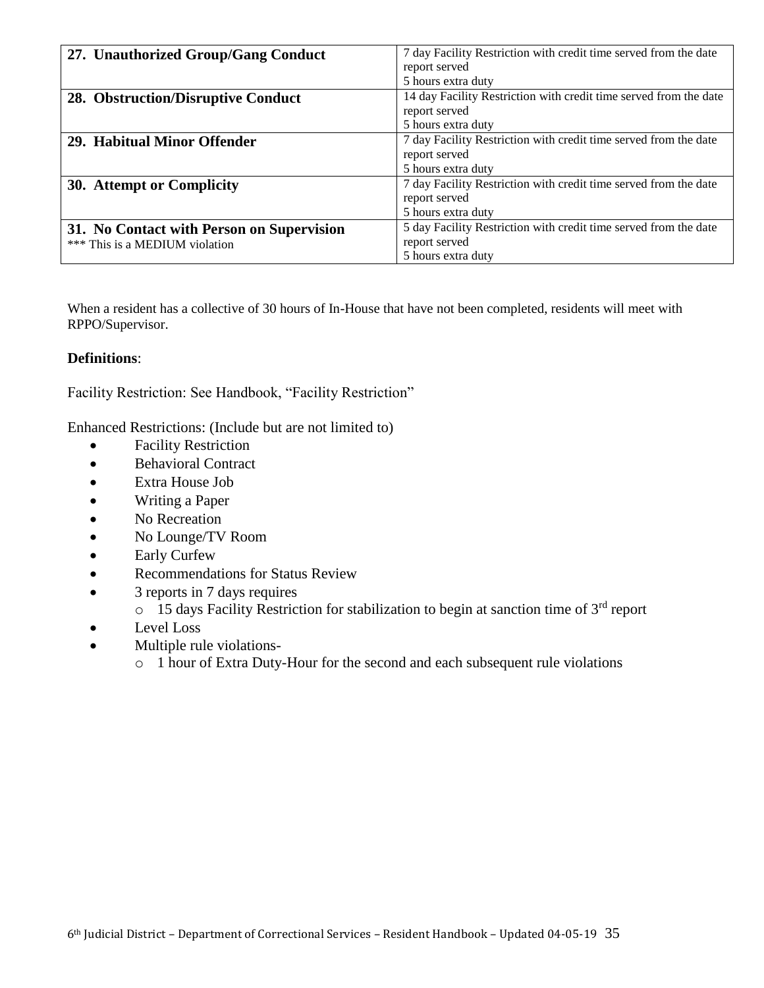| 27. Unauthorized Group/Gang Conduct       | 7 day Facility Restriction with credit time served from the date  |
|-------------------------------------------|-------------------------------------------------------------------|
|                                           | report served                                                     |
|                                           | 5 hours extra duty                                                |
| 28. Obstruction/Disruptive Conduct        | 14 day Facility Restriction with credit time served from the date |
|                                           | report served                                                     |
|                                           | 5 hours extra duty                                                |
| 29. Habitual Minor Offender               | 7 day Facility Restriction with credit time served from the date  |
|                                           | report served                                                     |
|                                           | 5 hours extra duty                                                |
| 30. Attempt or Complicity                 | 7 day Facility Restriction with credit time served from the date  |
|                                           | report served                                                     |
|                                           | 5 hours extra duty                                                |
| 31. No Contact with Person on Supervision | 5 day Facility Restriction with credit time served from the date  |
| *** This is a MEDIUM violation            | report served                                                     |
|                                           | 5 hours extra duty                                                |

When a resident has a collective of 30 hours of In-House that have not been completed, residents will meet with RPPO/Supervisor.

# **Definitions**:

Facility Restriction: See Handbook, "Facility Restriction"

Enhanced Restrictions: (Include but are not limited to)

- Facility Restriction
- Behavioral Contract
- Extra House Job
- Writing a Paper
- No Recreation
- No Lounge/TV Room
- Early Curfew
- Recommendations for Status Review
- 3 reports in 7 days requires
	- $\circ$  15 days Facility Restriction for stabilization to begin at sanction time of 3<sup>rd</sup> report
- Level Loss
- Multiple rule violations
	- o 1 hour of Extra Duty-Hour for the second and each subsequent rule violations